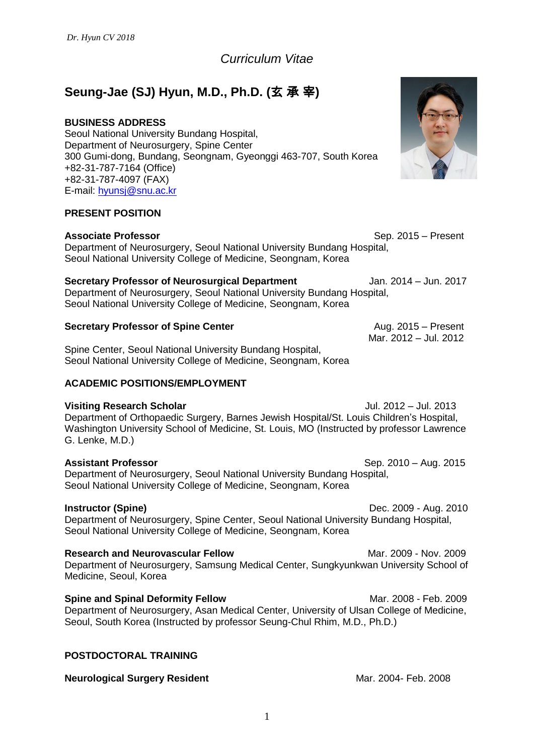*Curriculum Vitae*

# **Seung-Jae (SJ) Hyun, M.D., Ph.D. (**玄 承 宰**)**

# **BUSINESS ADDRESS**

Seoul National University Bundang Hospital, Department of Neurosurgery, Spine Center 300 Gumi-dong, Bundang, Seongnam, Gyeonggi 463-707, South Korea +82-31-787-7164 (Office) +82-31-787-4097 (FAX) E-mail: [hyunsj@snu.ac.kr](mailto:hyunsj@snu.ac.kr)

# **PRESENT POSITION**

**Associate Professor Sep. 2015 – Present** 

Department of Neurosurgery, Seoul National University Bundang Hospital, Seoul National University College of Medicine, Seongnam, Korea

### **Secretary Professor of Neurosurgical Department** Jan. 2014 – Jun. 2017

Department of Neurosurgery, Seoul National University Bundang Hospital, Seoul National University College of Medicine, Seongnam, Korea

### **Secretary Professor of Spine Center** Aug. 2015 – Present

Spine Center, Seoul National University Bundang Hospital, Seoul National University College of Medicine, Seongnam, Korea

# **ACADEMIC POSITIONS/EMPLOYMENT**

#### **Visiting Research Scholar**  Jul. 2012 – Jul. 2013

Department of Orthopaedic Surgery, Barnes Jewish Hospital/St. Louis Children's Hospital, Washington University School of Medicine, St. Louis, MO (Instructed by professor Lawrence G. Lenke, M.D.)

Department of Neurosurgery, Seoul National University Bundang Hospital, Seoul National University College of Medicine, Seongnam, Korea

**Instructor (Spine) Dec. 2009 - Aug. 2010** Department of Neurosurgery, Spine Center, Seoul National University Bundang Hospital, Seoul National University College of Medicine, Seongnam, Korea

**Research and Neurovascular Fellow**  Mar. 2009 - Nov. 2009 - Nov. 2009 Department of Neurosurgery, Samsung Medical Center, Sungkyunkwan University School of Medicine, Seoul, Korea

**Spine and Spinal Deformity Fellow**  Mar. 2008 - Feb. 2009 - Test 2009 Department of Neurosurgery, Asan Medical Center, University of Ulsan College of Medicine, Seoul, South Korea (Instructed by professor Seung-Chul Rhim, M.D., Ph.D.)

# **POSTDOCTORAL TRAINING**

#### **Neurological Surgery Resident 1999 12004** Mar. 2004- Feb. 2008



Mar. 2012 – Jul. 2012

**Assistant Professor Sep. 2010 – Aug. 2015**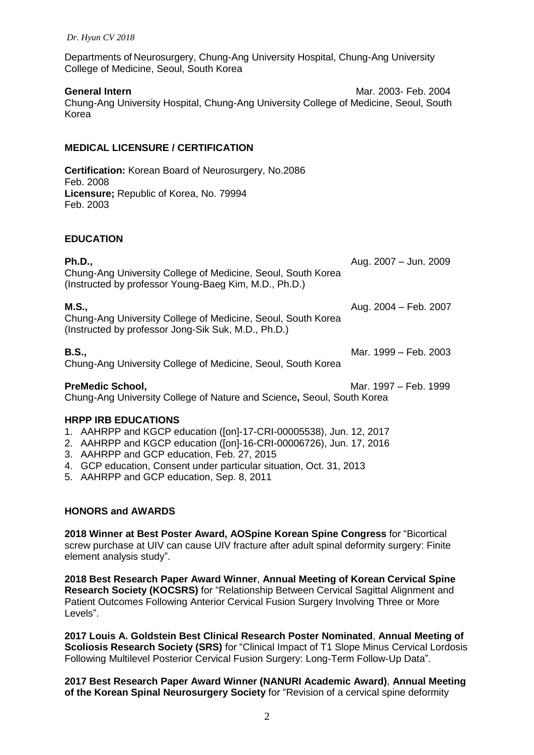Departments of Neurosurgery, Chung-Ang University Hospital, Chung-Ang University College of Medicine, Seoul, South Korea

**General Intern 19th Contract 10 Automobile 10 Automobile 10 Automobile 10 Automobile 10 Automobile 10 Automobile 10 Automobile 10 Automobile 10 Automobile 10 Automobile 10 Automobile 10 Automobile 10 Automobile 10 Automob** Chung-Ang University Hospital, Chung-Ang University College of Medicine, Seoul, South Korea

### **MEDICAL LICENSURE / CERTIFICATION**

**Certification:** Korean Board of Neurosurgery, No.2086 Feb. 2008 **Licensure;** Republic of Korea, No. 79994 Feb. 2003

#### **EDUCATION**

| <b>Ph.D.,</b><br>Chung-Ang University College of Medicine, Seoul, South Korea<br>(Instructed by professor Young-Baeg Kim, M.D., Ph.D.)   | Aug. 2007 - Jun. 2009 |
|------------------------------------------------------------------------------------------------------------------------------------------|-----------------------|
| <b>M.S.,</b><br>Chung-Ang University College of Medicine, Seoul, South Korea<br>(Instructed by professor Jong-Sik Suk, M.D., Ph.D.)      | Aug. 2004 - Feb. 2007 |
| <b>B.S.,</b><br>Chung-Ang University College of Medicine, Seoul, South Korea                                                             | Mar. 1999 - Feb. 2003 |
| <b>PreMedic School,</b><br>Chung-Ang University College of Nature and Science, Seoul, South Korea                                        | Mar. 1997 – Feb. 1999 |
| <b>HRPP IRB EDUCATIONS</b>                                                                                                               |                       |
| 1. AAHRPP and KGCP education ([on]-17-CRI-00005538), Jun. 12, 2017<br>2. AAHRPP and KGCP education ([on]-16-CRI-00006726), Jun. 17, 2016 |                       |
|                                                                                                                                          |                       |

- 3. AAHRPP and GCP education, Feb. 27, 2015
- 4. GCP education, Consent under particular situation, Oct. 31, 2013
- 5. AAHRPP and GCP education, Sep. 8, 2011

#### **HONORS and AWARDS**

**2018 Winner at Best Poster Award, AOSpine Korean Spine Congress** for "Bicortical screw purchase at UIV can cause UIV fracture after adult spinal deformity surgery: Finite element analysis study".

**2018 Best Research Paper Award Winner**, **Annual Meeting of Korean Cervical Spine Research Society (KOCSRS)** for "Relationship Between Cervical Sagittal Alignment and Patient Outcomes Following Anterior Cervical Fusion Surgery Involving Three or More Levels".

**2017 Louis A. Goldstein Best Clinical Research Poster Nominated**, **Annual Meeting of Scoliosis Research Society (SRS)** for "Clinical Impact of T1 Slope Minus Cervical Lordosis Following Multilevel Posterior Cervical Fusion Surgery: Long-Term Follow-Up Data".

**2017 Best Research Paper Award Winner (NANURI Academic Award)**, **Annual Meeting of the Korean Spinal Neurosurgery Society** for "Revision of a cervical spine deformity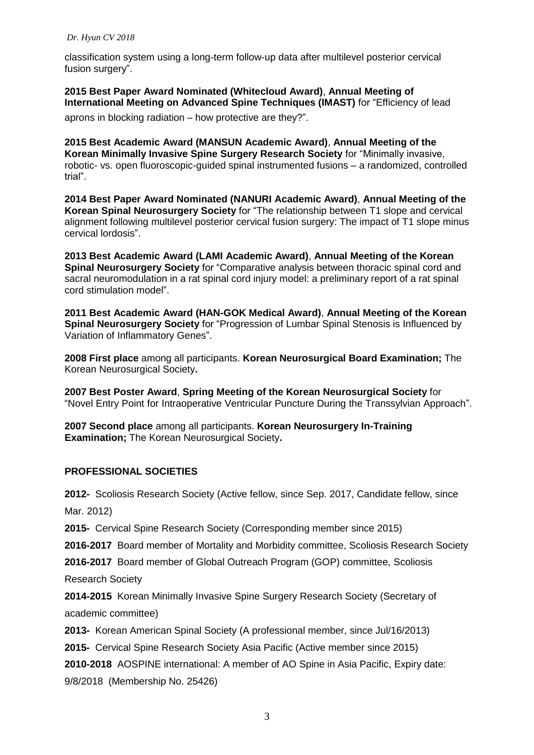classification system using a long-term follow-up data after multilevel posterior cervical fusion surgery".

**2015 Best Paper Award Nominated (Whitecloud Award)**, **Annual Meeting of International Meeting on Advanced Spine Techniques (IMAST)** for "Efficiency of lead

aprons in blocking radiation – how protective are they?".

**2015 Best Academic Award (MANSUN Academic Award)**, **Annual Meeting of the Korean Minimally Invasive Spine Surgery Research Society** for "Minimally invasive, robotic- vs. open fluoroscopic-guided spinal instrumented fusions – a randomized, controlled trial".

**2014 Best Paper Award Nominated (NANURI Academic Award)**, **Annual Meeting of the Korean Spinal Neurosurgery Society** for "The relationship between T1 slope and cervical alignment following multilevel posterior cervical fusion surgery: The impact of T1 slope minus cervical lordosis".

**2013 Best Academic Award (LAMI Academic Award)**, **Annual Meeting of the Korean Spinal Neurosurgery Society** for "Comparative analysis between thoracic spinal cord and sacral neuromodulation in a rat spinal cord injury model: a preliminary report of a rat spinal cord stimulation model".

**2011 Best Academic Award (HAN-GOK Medical Award)**, **Annual Meeting of the Korean Spinal Neurosurgery Society** for "Progression of Lumbar Spinal Stenosis is Influenced by Variation of Inflammatory Genes".

**2008 First place** among all participants. **Korean Neurosurgical Board Examination;** The Korean Neurosurgical Society**.**

**2007 Best Poster Award**, **Spring Meeting of the Korean Neurosurgical Society** for "Novel Entry Point for Intraoperative Ventricular Puncture During the Transsylvian Approach".

**2007 Second place** among all participants. **Korean Neurosurgery In-Training Examination;** The Korean Neurosurgical Society**.**

# **PROFESSIONAL SOCIETIES**

**2012-** Scoliosis Research Society (Active fellow, since Sep. 2017, Candidate fellow, since Mar. 2012)

**2015-** Cervical Spine Research Society (Corresponding member since 2015)

**2016-2017** Board member of Mortality and Morbidity committee, Scoliosis Research Society

**2016-2017** Board member of Global Outreach Program (GOP) committee, Scoliosis

Research Society

**2014-2015** Korean Minimally Invasive Spine Surgery Research Society (Secretary of academic committee)

**2013-** Korean American Spinal Society (A professional member, since Jul/16/2013)

**2015-** Cervical Spine Research Society Asia Pacific (Active member since 2015)

**2010-2018** AOSPINE international: A member of AO Spine in Asia Pacific, Expiry date: 9/8/2018 (Membership No. 25426)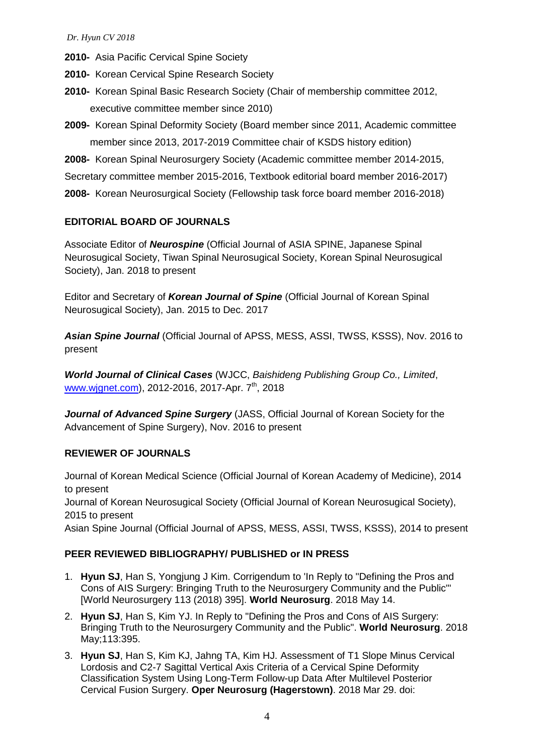**2010-** Asia Pacific Cervical Spine Society

**2010-** Korean Cervical Spine Research Society

- **2010-** Korean Spinal Basic Research Society (Chair of membership committee 2012, executive committee member since 2010)
- **2009-** Korean Spinal Deformity Society (Board member since 2011, Academic committee member since 2013, 2017-2019 Committee chair of KSDS history edition)

**2008-** Korean Spinal Neurosurgery Society (Academic committee member 2014-2015,

Secretary committee member 2015-2016, Textbook editorial board member 2016-2017)

**2008-** Korean Neurosurgical Society (Fellowship task force board member 2016-2018)

# **EDITORIAL BOARD OF JOURNALS**

Associate Editor of *Neurospine* (Official Journal of ASIA SPINE, Japanese Spinal Neurosugical Society, Tiwan Spinal Neurosugical Society, Korean Spinal Neurosugical Society), Jan. 2018 to present

Editor and Secretary of *Korean Journal of Spine* (Official Journal of Korean Spinal Neurosugical Society), Jan. 2015 to Dec. 2017

*Asian Spine Journal* (Official Journal of APSS, MESS, ASSI, TWSS, KSSS), Nov. 2016 to present

*World Journal of Clinical Cases* (WJCC, *Baishideng Publishing Group Co., Limited*, [www.wjgnet.com\)](http://www.wjgnet.com/), 2012-2016, 2017-Apr. 7<sup>th</sup>, 2018

*Journal of Advanced Spine Surgery* (JASS, Official Journal of Korean Society for the Advancement of Spine Surgery), Nov. 2016 to present

#### **REVIEWER OF JOURNALS**

Journal of Korean Medical Science (Official Journal of Korean Academy of Medicine), 2014 to present Journal of Korean Neurosugical Society (Official Journal of Korean Neurosugical Society), 2015 to present

Asian Spine Journal (Official Journal of APSS, MESS, ASSI, TWSS, KSSS), 2014 to present

#### **PEER REVIEWED BIBLIOGRAPHY/ PUBLISHED or IN PRESS**

- 1. **Hyun SJ**, Han S, Yongjung J Kim. Corrigendum to 'In Reply to "Defining the Pros and Cons of AIS Surgery: Bringing Truth to the Neurosurgery Community and the Public"' [World Neurosurgery 113 (2018) 395]. **World Neurosurg**. 2018 May 14.
- 2. **Hyun SJ**, Han S, Kim YJ. In Reply to "Defining the Pros and Cons of AIS Surgery: Bringing Truth to the Neurosurgery Community and the Public". **World Neurosurg**. 2018 May;113:395.
- 3. **Hyun SJ**, Han S, Kim KJ, Jahng TA, Kim HJ. Assessment of T1 Slope Minus Cervical Lordosis and C2-7 Sagittal Vertical Axis Criteria of a Cervical Spine Deformity Classification System Using Long-Term Follow-up Data After Multilevel Posterior Cervical Fusion Surgery. **Oper Neurosurg (Hagerstown)**. 2018 Mar 29. doi: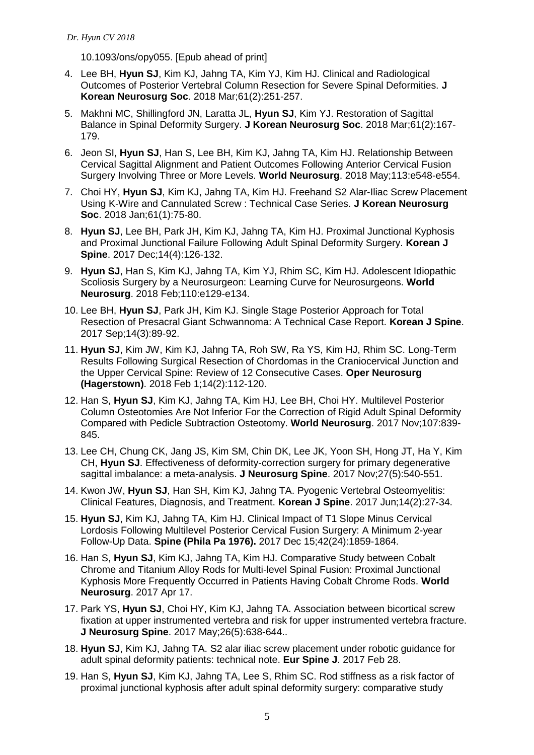10.1093/ons/opy055. [Epub ahead of print]

- 4. Lee BH, **Hyun SJ**, Kim KJ, Jahng TA, Kim YJ, Kim HJ. Clinical and Radiological Outcomes of Posterior Vertebral Column Resection for Severe Spinal Deformities. **J Korean Neurosurg Soc**. 2018 Mar;61(2):251-257.
- 5. Makhni MC, Shillingford JN, Laratta JL, **Hyun SJ**, Kim YJ. Restoration of Sagittal Balance in Spinal Deformity Surgery. **J Korean Neurosurg Soc**. 2018 Mar;61(2):167- 179.
- 6. Jeon SI, **Hyun SJ**, Han S, Lee BH, Kim KJ, Jahng TA, Kim HJ. Relationship Between Cervical Sagittal Alignment and Patient Outcomes Following Anterior Cervical Fusion Surgery Involving Three or More Levels. **World Neurosurg**. 2018 May;113:e548-e554.
- 7. Choi HY, **Hyun SJ**, Kim KJ, Jahng TA, Kim HJ. Freehand S2 Alar-Iliac Screw Placement Using K-Wire and Cannulated Screw : Technical Case Series. **J Korean Neurosurg Soc**. 2018 Jan;61(1):75-80.
- 8. **Hyun SJ**, Lee BH, Park JH, Kim KJ, Jahng TA, Kim HJ. Proximal Junctional Kyphosis and Proximal Junctional Failure Following Adult Spinal Deformity Surgery. **Korean J Spine**. 2017 Dec;14(4):126-132.
- 9. **Hyun SJ**, Han S, Kim KJ, Jahng TA, Kim YJ, Rhim SC, Kim HJ. Adolescent Idiopathic Scoliosis Surgery by a Neurosurgeon: Learning Curve for Neurosurgeons. **World Neurosurg**. 2018 Feb;110:e129-e134.
- 10. Lee BH, **Hyun SJ**, Park JH, Kim KJ. Single Stage Posterior Approach for Total Resection of Presacral Giant Schwannoma: A Technical Case Report. **Korean J Spine**. 2017 Sep;14(3):89-92.
- 11. **Hyun SJ**, Kim JW, Kim KJ, Jahng TA, Roh SW, Ra YS, Kim HJ, Rhim SC. Long-Term Results Following Surgical Resection of Chordomas in the Craniocervical Junction and the Upper Cervical Spine: Review of 12 Consecutive Cases. **Oper Neurosurg (Hagerstown)**. 2018 Feb 1;14(2):112-120.
- 12. Han S, **Hyun SJ**, Kim KJ, Jahng TA, Kim HJ, Lee BH, Choi HY. Multilevel Posterior Column Osteotomies Are Not Inferior For the Correction of Rigid Adult Spinal Deformity Compared with Pedicle Subtraction Osteotomy. **World Neurosurg**. 2017 Nov;107:839- 845.
- 13. Lee CH, Chung CK, Jang JS, Kim SM, Chin DK, Lee JK, Yoon SH, Hong JT, Ha Y, Kim CH, **Hyun SJ**. Effectiveness of deformity-correction surgery for primary degenerative sagittal imbalance: a meta-analysis. **J Neurosurg Spine**. 2017 Nov;27(5):540-551.
- 14. Kwon JW, **Hyun SJ**, Han SH, Kim KJ, Jahng TA. Pyogenic Vertebral Osteomyelitis: Clinical Features, Diagnosis, and Treatment. **Korean J Spine**. 2017 Jun;14(2):27-34.
- 15. **Hyun SJ**, Kim KJ, Jahng TA, Kim HJ. Clinical Impact of T1 Slope Minus Cervical Lordosis Following Multilevel Posterior Cervical Fusion Surgery: A Minimum 2-year Follow-Up Data. **Spine (Phila Pa 1976).** 2017 Dec 15;42(24):1859-1864.
- 16. Han S, **Hyun SJ**, Kim KJ, Jahng TA, Kim HJ. Comparative Study between Cobalt Chrome and Titanium Alloy Rods for Multi-level Spinal Fusion: Proximal Junctional Kyphosis More Frequently Occurred in Patients Having Cobalt Chrome Rods. **World Neurosurg**. 2017 Apr 17.
- 17. Park YS, **Hyun SJ**, Choi HY, Kim KJ, Jahng TA. Association between bicortical screw fixation at upper instrumented vertebra and risk for upper instrumented vertebra fracture. **J Neurosurg Spine**. 2017 May;26(5):638-644..
- 18. **Hyun SJ**, Kim KJ, Jahng TA. S2 alar iliac screw placement under robotic guidance for adult spinal deformity patients: technical note. **Eur Spine J**. 2017 Feb 28.
- 19. Han S, **Hyun SJ**, Kim KJ, Jahng TA, Lee S, Rhim SC. Rod stiffness as a risk factor of proximal junctional kyphosis after adult spinal deformity surgery: comparative study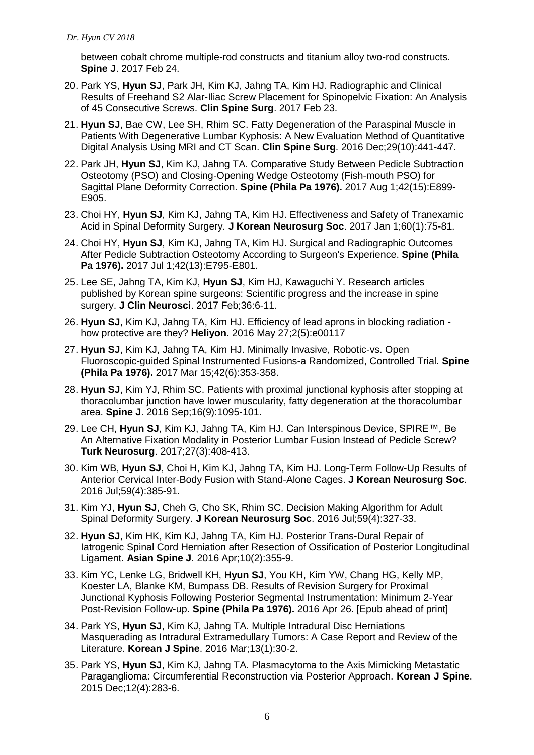between cobalt chrome multiple-rod constructs and titanium alloy two-rod constructs. **Spine J**. 2017 Feb 24.

- 20. Park YS, **Hyun SJ**, Park JH, Kim KJ, Jahng TA, Kim HJ. Radiographic and Clinical Results of Freehand S2 Alar-Iliac Screw Placement for Spinopelvic Fixation: An Analysis of 45 Consecutive Screws. **Clin Spine Surg**. 2017 Feb 23.
- 21. **Hyun SJ**, Bae CW, Lee SH, Rhim SC. Fatty Degeneration of the Paraspinal Muscle in Patients With Degenerative Lumbar Kyphosis: A New Evaluation Method of Quantitative Digital Analysis Using MRI and CT Scan. **Clin Spine Surg**. 2016 Dec;29(10):441-447.
- 22. Park JH, **Hyun SJ**, Kim KJ, Jahng TA. Comparative Study Between Pedicle Subtraction Osteotomy (PSO) and Closing-Opening Wedge Osteotomy (Fish-mouth PSO) for Sagittal Plane Deformity Correction. **Spine (Phila Pa 1976).** 2017 Aug 1;42(15):E899- E905.
- 23. Choi HY, **Hyun SJ**, Kim KJ, Jahng TA, Kim HJ. Effectiveness and Safety of Tranexamic Acid in Spinal Deformity Surgery. **J Korean Neurosurg Soc**. 2017 Jan 1;60(1):75-81.
- 24. Choi HY, **Hyun SJ**, Kim KJ, Jahng TA, Kim HJ. Surgical and Radiographic Outcomes After Pedicle Subtraction Osteotomy According to Surgeon's Experience. **Spine (Phila Pa 1976).** 2017 Jul 1;42(13):E795-E801.
- 25. Lee SE, Jahng TA, Kim KJ, **Hyun SJ**, Kim HJ, Kawaguchi Y. Research articles published by Korean spine surgeons: Scientific progress and the increase in spine surgery. **J Clin Neurosci**. 2017 Feb;36:6-11.
- 26. **Hyun SJ**, Kim KJ, Jahng TA, Kim HJ. Efficiency of lead aprons in blocking radiation how protective are they? **Heliyon**. 2016 May 27;2(5):e00117
- 27. **Hyun SJ**, Kim KJ, Jahng TA, Kim HJ. Minimally Invasive, Robotic-vs. Open Fluoroscopic-guided Spinal Instrumented Fusions-a Randomized, Controlled Trial. **Spine (Phila Pa 1976).** 2017 Mar 15;42(6):353-358.
- 28. **Hyun SJ**, Kim YJ, Rhim SC. Patients with proximal junctional kyphosis after stopping at thoracolumbar junction have lower muscularity, fatty degeneration at the thoracolumbar area. **Spine J**. 2016 Sep;16(9):1095-101.
- 29. Lee CH, **Hyun SJ**, Kim KJ, Jahng TA, Kim HJ. Can Interspinous Device, SPIRE™, Be An Alternative Fixation Modality in Posterior Lumbar Fusion Instead of Pedicle Screw? **Turk Neurosurg**. 2017;27(3):408-413.
- 30. Kim WB, **Hyun SJ**, Choi H, Kim KJ, Jahng TA, Kim HJ. Long-Term Follow-Up Results of Anterior Cervical Inter-Body Fusion with Stand-Alone Cages. **J Korean Neurosurg Soc**. 2016 Jul;59(4):385-91.
- 31. Kim YJ, **Hyun SJ**, Cheh G, Cho SK, Rhim SC. Decision Making Algorithm for Adult Spinal Deformity Surgery. **J Korean Neurosurg Soc**. 2016 Jul;59(4):327-33.
- 32. **Hyun SJ**, Kim HK, Kim KJ, Jahng TA, Kim HJ. Posterior Trans-Dural Repair of Iatrogenic Spinal Cord Herniation after Resection of Ossification of Posterior Longitudinal Ligament. **Asian Spine J**. 2016 Apr;10(2):355-9.
- 33. Kim YC, Lenke LG, Bridwell KH, **Hyun SJ**, You KH, Kim YW, Chang HG, Kelly MP, Koester LA, Blanke KM, Bumpass DB. Results of Revision Surgery for Proximal Junctional Kyphosis Following Posterior Segmental Instrumentation: Minimum 2-Year Post-Revision Follow-up. **Spine (Phila Pa 1976).** 2016 Apr 26. [Epub ahead of print]
- 34. Park YS, **Hyun SJ**, Kim KJ, Jahng TA. Multiple Intradural Disc Herniations Masquerading as Intradural Extramedullary Tumors: A Case Report and Review of the Literature. **Korean J Spine**. 2016 Mar;13(1):30-2.
- 35. Park YS, **Hyun SJ**, Kim KJ, Jahng TA. Plasmacytoma to the Axis Mimicking Metastatic Paraganglioma: Circumferential Reconstruction via Posterior Approach. **Korean J Spine**. 2015 Dec;12(4):283-6.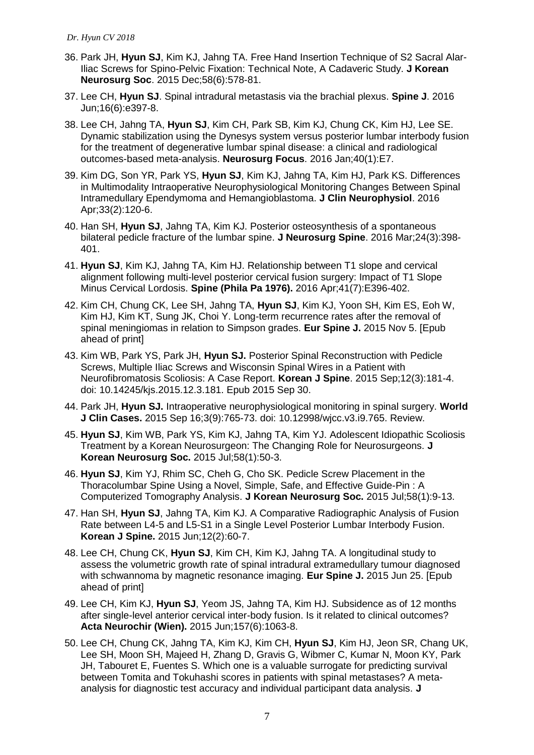- 36. Park JH, **Hyun SJ**, Kim KJ, Jahng TA. Free Hand Insertion Technique of S2 Sacral Alar-Iliac Screws for Spino-Pelvic Fixation: Technical Note, A Cadaveric Study. **J Korean Neurosurg Soc**. 2015 Dec;58(6):578-81.
- 37. Lee CH, **Hyun SJ**. Spinal intradural metastasis via the brachial plexus. **Spine J**. 2016 Jun;16(6):e397-8.
- 38. Lee CH, Jahng TA, **Hyun SJ**, Kim CH, Park SB, Kim KJ, Chung CK, Kim HJ, Lee SE. Dynamic stabilization using the Dynesys system versus posterior lumbar interbody fusion for the treatment of degenerative lumbar spinal disease: a clinical and radiological outcomes-based meta-analysis. **Neurosurg Focus**. 2016 Jan;40(1):E7.
- 39. Kim DG, Son YR, Park YS, **Hyun SJ**, Kim KJ, Jahng TA, Kim HJ, Park KS. Differences in Multimodality Intraoperative Neurophysiological Monitoring Changes Between Spinal Intramedullary Ependymoma and Hemangioblastoma. **J Clin Neurophysiol**. 2016 Apr;33(2):120-6.
- 40. Han SH, **Hyun SJ**, Jahng TA, Kim KJ. Posterior osteosynthesis of a spontaneous bilateral pedicle fracture of the lumbar spine. **J Neurosurg Spine**. 2016 Mar;24(3):398- 401.
- 41. **Hyun SJ**, Kim KJ, Jahng TA, Kim HJ. Relationship between T1 slope and cervical alignment following multi-level posterior cervical fusion surgery: Impact of T1 Slope Minus Cervical Lordosis. **Spine (Phila Pa 1976).** 2016 Apr;41(7):E396-402.
- 42. Kim CH, Chung CK, Lee SH, Jahng TA, **Hyun SJ**, Kim KJ, Yoon SH, Kim ES, Eoh W, Kim HJ, Kim KT, Sung JK, Choi Y. Long-term recurrence rates after the removal of spinal meningiomas in relation to Simpson grades. **Eur Spine J.** 2015 Nov 5. [Epub ahead of print]
- 43. Kim WB, Park YS, Park JH, **Hyun SJ.** Posterior Spinal Reconstruction with Pedicle Screws, Multiple Iliac Screws and Wisconsin Spinal Wires in a Patient with Neurofibromatosis Scoliosis: A Case Report. **Korean J Spine**. 2015 Sep;12(3):181-4. doi: 10.14245/kjs.2015.12.3.181. Epub 2015 Sep 30.
- 44. Park JH, **Hyun SJ.** Intraoperative neurophysiological monitoring in spinal surgery. **World J Clin Cases.** 2015 Sep 16;3(9):765-73. doi: 10.12998/wjcc.v3.i9.765. Review.
- 45. **Hyun SJ**, Kim WB, Park YS, Kim KJ, Jahng TA, Kim YJ. Adolescent Idiopathic Scoliosis Treatment by a Korean Neurosurgeon: The Changing Role for Neurosurgeons. **J Korean Neurosurg Soc.** 2015 Jul;58(1):50-3.
- 46. **Hyun SJ**, Kim YJ, Rhim SC, Cheh G, Cho SK. Pedicle Screw Placement in the Thoracolumbar Spine Using a Novel, Simple, Safe, and Effective Guide-Pin : A Computerized Tomography Analysis. **J Korean Neurosurg Soc.** 2015 Jul;58(1):9-13.
- 47. Han SH, **Hyun SJ**, Jahng TA, Kim KJ. A Comparative Radiographic Analysis of Fusion Rate between L4-5 and L5-S1 in a Single Level Posterior Lumbar Interbody Fusion. **Korean J Spine.** 2015 Jun;12(2):60-7.
- 48. [Lee CH,](http://www.ncbi.nlm.nih.gov/pubmed/?term=Lee%20CH%5BAuthor%5D&cauthor=true&cauthor_uid=26108388) [Chung CK,](http://www.ncbi.nlm.nih.gov/pubmed/?term=Chung%20CK%5BAuthor%5D&cauthor=true&cauthor_uid=26108388) **[Hyun SJ](http://www.ncbi.nlm.nih.gov/pubmed/?term=Hyun%20SJ%5BAuthor%5D&cauthor=true&cauthor_uid=26108388)**, [Kim CH,](http://www.ncbi.nlm.nih.gov/pubmed/?term=Kim%20CH%5BAuthor%5D&cauthor=true&cauthor_uid=26108388) [Kim KJ,](http://www.ncbi.nlm.nih.gov/pubmed/?term=Kim%20KJ%5BAuthor%5D&cauthor=true&cauthor_uid=26108388) [Jahng TA.](http://www.ncbi.nlm.nih.gov/pubmed/?term=Jahng%20TA%5BAuthor%5D&cauthor=true&cauthor_uid=26108388) A longitudinal study to assess the volumetric growth rate of spinal intradural extramedullary tumour diagnosed with schwannoma by magnetic resonance imaging. **Eur Spine J.** 2015 Jun 25. [Epub ahead of print]
- 49. Lee CH, Kim KJ, **Hyun SJ**, Yeom JS, Jahng TA, Kim HJ. Subsidence as of 12 months after single-level anterior cervical inter-body fusion. Is it related to clinical outcomes? **Acta Neurochir (Wien).** 2015 Jun;157(6):1063-8.
- 50. Lee CH, Chung CK, Jahng TA, Kim KJ, Kim CH, **Hyun SJ**, Kim HJ, Jeon SR, Chang UK, Lee SH, Moon SH, Majeed H, Zhang D, Gravis G, Wibmer C, Kumar N, Moon KY, Park JH, Tabouret E, Fuentes S. Which one is a valuable surrogate for predicting survival between Tomita and Tokuhashi scores in patients with spinal metastases? A metaanalysis for diagnostic test accuracy and individual participant data analysis. **[J](http://www.ncbi.nlm.nih.gov/pubmed/25947287)**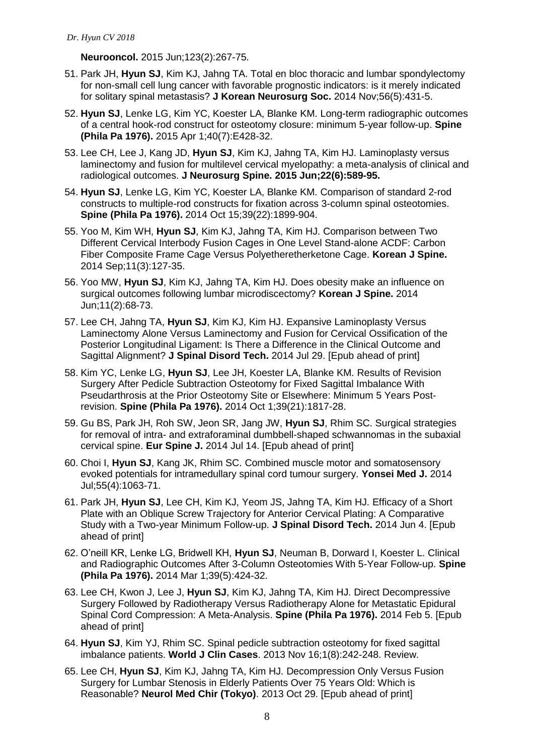**[Neurooncol.](http://www.ncbi.nlm.nih.gov/pubmed/25947287)** 2015 Jun;123(2):267-75.

- 51. Park JH, **Hyun SJ**, Kim KJ, Jahng TA. Total en bloc thoracic and lumbar spondylectomy for non-small cell lung cancer with favorable prognostic indicators: is it merely indicated for solitary spinal metastasis? **J Korean Neurosurg Soc.** 2014 Nov;56(5):431-5.
- 52. **Hyun SJ**, Lenke LG, Kim YC, Koester LA, Blanke KM. Long-term radiographic outcomes of a central hook-rod construct for osteotomy closure: minimum 5-year follow-up. **[Spine](http://www.ncbi.nlm.nih.gov/pubmed/25599289)  [\(Phila Pa 1976\).](http://www.ncbi.nlm.nih.gov/pubmed/25599289)** 2015 Apr 1;40(7):E428-32.
- 53. Lee CH, Lee J, Kang JD, **Hyun SJ**, Kim KJ, Jahng TA, Kim HJ. Laminoplasty versus laminectomy and fusion for multilevel cervical myelopathy: a meta-analysis of clinical and radiological outcomes. **[J Neurosurg Spine.](http://www.ncbi.nlm.nih.gov/pubmed/25815808) 2015 Jun;22(6):589-95.**
- 54. **Hyun SJ**, Lenke LG, Kim YC, Koester LA, Blanke KM. [Comparison of standard 2-rod](http://www.ncbi.nlm.nih.gov/pubmed/25299168)  [constructs to multiple-rod constructs for fixation across 3-column spinal osteotomies.](http://www.ncbi.nlm.nih.gov/pubmed/25299168) **Spine (Phila Pa 1976).** 2014 Oct 15;39(22):1899-904.
- 55. Yoo M, Kim WH, **Hyun SJ**, Kim KJ, Jahng TA, Kim HJ. [Comparison between Two](http://www.ncbi.nlm.nih.gov/pubmed/25346758)  [Different Cervical Interbody Fusion Cages in](http://www.ncbi.nlm.nih.gov/pubmed/25346758) One Level Stand-alone ACDF: Carbon [Fiber Composite Frame Cage Versus Polyetheretherketone Cage.](http://www.ncbi.nlm.nih.gov/pubmed/25346758) **Korean J Spine.** 2014 Sep;11(3):127-35.
- 56. Yoo MW, **Hyun SJ**, Kim KJ, Jahng TA, Kim HJ. [Does obesity make](http://www.ncbi.nlm.nih.gov/pubmed/25110486) an influence on [surgical outcomes following lumbar microdiscectomy?](http://www.ncbi.nlm.nih.gov/pubmed/25110486) **Korean J Spine.** 2014 Jun;11(2):68-73.
- 57. Lee CH, Jahng TA, **Hyun SJ**, Kim KJ, Kim HJ. [Expansive Laminoplasty Versus](http://www.ncbi.nlm.nih.gov/pubmed/25075990)  [Laminectomy Alone Versus Laminectomy and Fusion for Cervical Ossification of the](http://www.ncbi.nlm.nih.gov/pubmed/25075990)  [Posterior Longitudinal Ligament: Is There a Difference in the Clinical Outcome and](http://www.ncbi.nlm.nih.gov/pubmed/25075990)  [Sagittal Alignment?](http://www.ncbi.nlm.nih.gov/pubmed/25075990) **J Spinal Disord Tech.** 2014 Jul 29. [Epub ahead of print]
- 58. Kim YC, Lenke LG, **Hyun SJ**, Lee JH, Koester LA, Blanke KM. [Results of Revision](http://www.ncbi.nlm.nih.gov/pubmed/25054652)  [Surgery After Pedicle Subtraction Osteotomy for Fixed Sagittal Imbalance With](http://www.ncbi.nlm.nih.gov/pubmed/25054652)  [Pseudarthrosis at the Prior Osteotomy Site or Elsewhere: Minimum 5 Years Post](http://www.ncbi.nlm.nih.gov/pubmed/25054652)[revision.](http://www.ncbi.nlm.nih.gov/pubmed/25054652) **Spine (Phila Pa 1976).** 2014 Oct 1;39(21):1817-28.
- 59. Gu BS, Park JH, Roh SW, Jeon SR, Jang JW, **Hyun SJ**, Rhim SC. [Surgical strategies](http://www.ncbi.nlm.nih.gov/pubmed/25018034)  for removal of intra- [and extraforaminal dumbbell-shaped schwannomas in the subaxial](http://www.ncbi.nlm.nih.gov/pubmed/25018034)  [cervical spine.](http://www.ncbi.nlm.nih.gov/pubmed/25018034) **Eur Spine J.** 2014 Jul 14. [Epub ahead of print]
- 60. Choi I, **Hyun SJ**, Kang JK, Rhim SC. [Combined muscle motor and somatosensory](http://www.ncbi.nlm.nih.gov/pubmed/24954338)  evoked potentials for [intramedullary spinal cord tumour surgery.](http://www.ncbi.nlm.nih.gov/pubmed/24954338) **Yonsei Med J.** 2014 Jul;55(4):1063-71.
- 61. Park JH, **Hyun SJ**, Lee CH, Kim KJ, Yeom JS, Jahng TA, Kim HJ. [Efficacy of a Short](http://www.ncbi.nlm.nih.gov/pubmed/24901874)  [Plate with an Oblique Screw Trajectory for Anterior Cervical Plating: A Comparative](http://www.ncbi.nlm.nih.gov/pubmed/24901874)  [Study with a Two-year Minimum Follow-up.](http://www.ncbi.nlm.nih.gov/pubmed/24901874) **J Spinal Disord Tech.** 2014 Jun 4. [Epub ahead of print]
- 62. O'neill KR, Lenke LG, Bridwell KH, **Hyun SJ**, Neuman B, Dorward I, Koester L. Clinical and Radiographic Outcomes After 3-Column Osteotomies With 5-Year Follow-up. **Spine (Phila Pa 1976).** 2014 Mar 1;39(5):424-32.
- 63. Lee CH, Kwon J, Lee J, **Hyun SJ**, Kim KJ, Jahng TA, Kim HJ. Direct Decompressive Surgery Followed by Radiotherapy Versus Radiotherapy Alone for Metastatic Epidural Spinal Cord Compression: A Meta-Analysis. **Spine (Phila Pa 1976).** 2014 Feb 5. [Epub ahead of print]
- 64. **Hyun SJ**, Kim YJ, Rhim SC. Spinal pedicle subtraction osteotomy for fixed sagittal imbalance patients. **World J Clin Cases**. 2013 Nov 16;1(8):242-248. Review.
- 65. Lee CH, **Hyun SJ**, Kim KJ, Jahng TA, Kim HJ. [Decompression Only Versus Fusion](http://www.ncbi.nlm.nih.gov/pubmed/24172588)  Surgery [for Lumbar Stenosis in Elderly Patients Over 75 Years Old: Which is](http://www.ncbi.nlm.nih.gov/pubmed/24172588)  [Reasonable?](http://www.ncbi.nlm.nih.gov/pubmed/24172588) **Neurol Med Chir (Tokyo)**. 2013 Oct 29. [Epub ahead of print]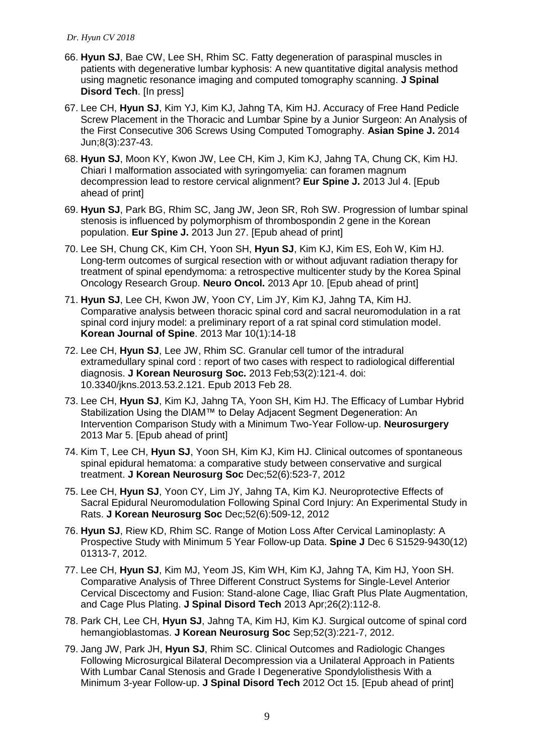- 66. **Hyun SJ**, Bae CW, Lee SH, Rhim SC. Fatty degeneration of paraspinal muscles in patients with degenerative lumbar kyphosis: A new quantitative digital analysis method using magnetic resonance imaging and computed tomography scanning. **J Spinal Disord Tech. [In press]**
- 67. Lee CH, **Hyun SJ**, Kim YJ, Kim KJ, Jahng TA, Kim HJ. Accuracy of Free Hand Pedicle Screw Placement in the Thoracic and Lumbar Spine by a Junior Surgeon: An Analysis of the First Consecutive 306 Screws Using Computed Tomography. **Asian Spine J.** 2014 Jun;8(3):237-43.
- 68. **Hyun SJ**, Moon KY, Kwon JW, Lee CH, Kim J, Kim KJ, Jahng TA, Chung CK, Kim HJ. [Chiari I malformation associated with syringomyelia: can foramen magnum](http://www.ncbi.nlm.nih.gov/pubmed/23824287)  [decompression lead to restore cervical alignment?](http://www.ncbi.nlm.nih.gov/pubmed/23824287) **Eur Spine J.** 2013 Jul 4. [Epub ahead of print]
- 69. **Hyun SJ**, Park BG, Rhim SC, Jang JW, Jeon SR, Roh SW. [Progression of lumbar spinal](http://www.ncbi.nlm.nih.gov/pubmed/23807322)  [stenosis is influenced by polymorphism of thrombospondin 2 gene in the Korean](http://www.ncbi.nlm.nih.gov/pubmed/23807322)  [population.](http://www.ncbi.nlm.nih.gov/pubmed/23807322) **Eur Spine J.** 2013 Jun 27. [Epub ahead of print]
- 70. Lee SH, Chung CK, Kim CH, Yoon SH, **Hyun SJ**, Kim KJ, Kim ES, Eoh W, Kim HJ. [Long-term outcomes of surgical resection with or without adjuvant radiation therapy for](http://www.ncbi.nlm.nih.gov/pubmed/23576600)  [treatment of spinal ependymoma: a retrospective multicenter study by the Korea Spinal](http://www.ncbi.nlm.nih.gov/pubmed/23576600)  [Oncology Research Group.](http://www.ncbi.nlm.nih.gov/pubmed/23576600) **Neuro Oncol.** 2013 Apr 10. [Epub ahead of print]
- 71. **Hyun SJ**, Lee CH, Kwon JW, Yoon CY, Lim JY, Kim KJ, Jahng TA, Kim HJ. Comparative analysis between thoracic spinal cord and sacral neuromodulation in a rat spinal cord injury model: a preliminary report of a rat spinal cord stimulation model. **Korean Journal of Spine**. 2013 Mar 10(1):14-18
- 72. Lee CH, **Hyun SJ**, Lee JW, Rhim SC. [Granular cell tumor of the intradural](http://www.ncbi.nlm.nih.gov/pubmed/23560179)  [extramedullary spinal cord : report of two cases with respect to radiological differential](http://www.ncbi.nlm.nih.gov/pubmed/23560179)  [diagnosis.](http://www.ncbi.nlm.nih.gov/pubmed/23560179) **J Korean Neurosurg Soc.** 2013 Feb;53(2):121-4. doi: 10.3340/jkns.2013.53.2.121. Epub 2013 Feb 28.
- 73. Lee CH, **Hyun SJ**, Kim KJ, Jahng TA, Yoon SH, Kim HJ. The Efficacy of Lumbar Hybrid Stabilization Using the DIAM™ to Delay Adjacent Segment Degeneration: An Intervention Comparison Study with a Minimum Two-Year Follow-up. **Neurosurgery** 2013 Mar 5. [Epub ahead of print]
- 74. Kim T, Lee CH, **Hyun SJ**, Yoon SH, Kim KJ, Kim HJ. Clinical outcomes of spontaneous spinal epidural hematoma: a comparative study between conservative and surgical treatment. **J Korean Neurosurg Soc** Dec;52(6):523-7, 2012
- 75. Lee CH, **Hyun SJ**, Yoon CY, Lim JY, Jahng TA, Kim KJ. Neuroprotective Effects of Sacral Epidural Neuromodulation Following Spinal Cord Injury: An Experimental Study in Rats. **J Korean Neurosurg Soc** Dec;52(6):509-12, 2012
- 76. **Hyun SJ**, Riew KD, Rhim SC. Range of Motion Loss After Cervical Laminoplasty: A Prospective Study with Minimum 5 Year Follow-up Data. **Spine J** Dec 6 S1529-9430(12) 01313-7, 2012.
- 77. Lee CH, **Hyun SJ**, Kim MJ, Yeom JS, Kim WH, Kim KJ, Jahng TA, Kim HJ, Yoon SH. [Comparative Analysis of Three Different Construct Systems for Single-Level Anterior](http://www.ncbi.nlm.nih.gov/pubmed/23027363)  [Cervical Discectomy and Fusion: Stand-alone Cage, Iliac Graft Plus Plate Augmentation,](http://www.ncbi.nlm.nih.gov/pubmed/23027363)  [and Cage Plus Plating.](http://www.ncbi.nlm.nih.gov/pubmed/23027363) **J Spinal Disord Tech** 2013 Apr;26(2):112-8.
- 78. Park CH, Lee CH, **Hyun SJ**, Jahng TA, Kim HJ, Kim KJ. [Surgical outcome of spinal cord](http://www.ncbi.nlm.nih.gov/pubmed/23115665)  [hemangioblastomas.](http://www.ncbi.nlm.nih.gov/pubmed/23115665) **J Korean Neurosurg Soc** Sep;52(3):221-7, 2012.
- 79. Jang JW, Park JH, **Hyun SJ**, Rhim SC. [Clinical Outcomes and Radiologic Changes](http://www.ncbi.nlm.nih.gov/pubmed/23073148)  [Following Microsurgical Bilateral Decompression via a Unilateral Approach in Patients](http://www.ncbi.nlm.nih.gov/pubmed/23073148)  [With Lumbar Canal Stenosis and Grade I Degenerative Spondylolisthesis With a](http://www.ncbi.nlm.nih.gov/pubmed/23073148)  [Minimum 3-year Follow-up.](http://www.ncbi.nlm.nih.gov/pubmed/23073148) **J Spinal Disord Tech** 2012 Oct 15. [Epub ahead of print]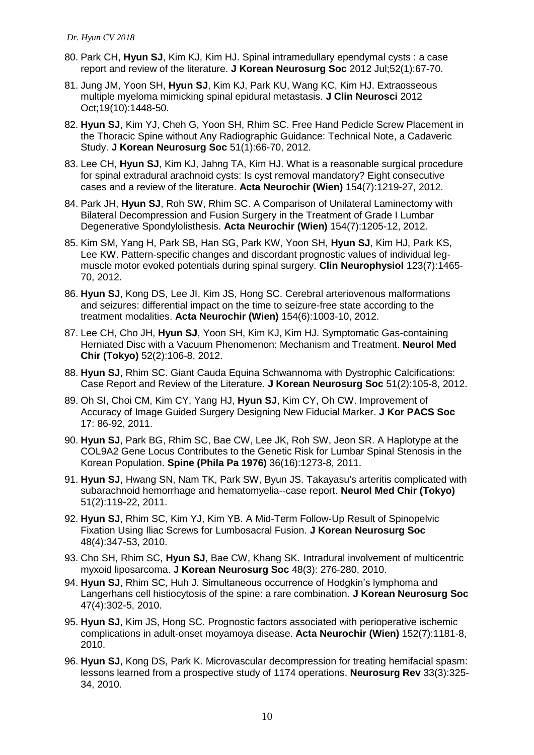- 80. Park CH, **Hyun SJ**, Kim KJ, Kim HJ. [Spinal intramedullary ependymal cysts : a case](http://www.ncbi.nlm.nih.gov/pubmed/22993683)  [report and review of the literature.](http://www.ncbi.nlm.nih.gov/pubmed/22993683) **J Korean Neurosurg Soc** 2012 Jul;52(1):67-70.
- 81. Jung JM, Yoon SH, **Hyun SJ**, Kim KJ, Park KU, Wang KC, Kim HJ. [Extraosseous](http://www.ncbi.nlm.nih.gov/pubmed/22898195)  [multiple myeloma mimicking spinal epidural metastasis.](http://www.ncbi.nlm.nih.gov/pubmed/22898195) **J Clin Neurosci** 2012 Oct;19(10):1448-50.
- 82. **Hyun SJ**, Kim YJ, Cheh G, Yoon SH, Rhim SC. Free Hand Pedicle Screw Placement in the Thoracic Spine without Any Radiographic Guidance: Technical Note, a Cadaveric Study. **J Korean Neurosurg Soc** 51(1):66-70, 2012.
- 83. Lee CH, **Hyun SJ**, Kim KJ, Jahng TA, Kim HJ. What is a reasonable surgical procedure for spinal extradural arachnoid cysts: Is cyst removal mandatory? Eight consecutive cases and a review of the literature. **Acta Neurochir (Wien)** 154(7):1219-27, 2012.
- 84. Park JH, **Hyun SJ**, Roh SW, Rhim SC. A Comparison of Unilateral Laminectomy with Bilateral Decompression and Fusion Surgery in the Treatment of Grade I Lumbar Degenerative Spondylolisthesis. **Acta Neurochir (Wien)** 154(7):1205-12, 2012.
- 85. Kim SM, Yang H, Park SB, Han SG, Park KW, Yoon SH, **Hyun SJ**, Kim HJ, Park KS, Lee KW. Pattern-specific changes and discordant prognostic values of individual legmuscle motor evoked potentials during spinal surgery. **Clin Neurophysiol** 123(7):1465- 70, 2012.
- 86. **Hyun SJ**, Kong DS, Lee JI, Kim JS, Hong SC. Cerebral arteriovenous malformations and seizures: differential impact on the time to seizure-free state according to the treatment modalities. **Acta Neurochir (Wien)** 154(6):1003-10, 2012.
- 87. Lee CH, Cho JH, **Hyun SJ**, Yoon SH, Kim KJ, Kim HJ. Symptomatic Gas-containing Herniated Disc with a Vacuum Phenomenon: Mechanism and Treatment. **Neurol Med Chir (Tokyo)** 52(2):106-8, 2012.
- 88. **Hyun SJ**, Rhim SC. Giant Cauda Equina Schwannoma with Dystrophic Calcifications: Case Report and Review of the Literature. **J Korean Neurosurg Soc** 51(2):105-8, 2012.
- 89. Oh SI, Choi CM, Kim CY, Yang HJ, **Hyun SJ**, Kim CY, Oh CW. Improvement of Accuracy of Image Guided Surgery Designing New Fiducial Marker. **J Kor PACS Soc** 17: 86-92, 2011.
- 90. **Hyun SJ**, Park BG, Rhim SC, Bae CW, Lee JK, Roh SW, Jeon SR. [A Haplotype at the](http://www.ncbi.nlm.nih.gov/pubmed/21228751)  [COL9A2 Gene Locus Contributes to the Genetic Risk for Lumbar Spinal Stenosis in the](http://www.ncbi.nlm.nih.gov/pubmed/21228751)  [Korean Population.](http://www.ncbi.nlm.nih.gov/pubmed/21228751) **Spine (Phila Pa 1976)** 36(16):1273-8, 2011.
- 91. **Hyun SJ**, Hwang SN, Nam TK, Park SW, Byun JS. [Takayasu's arteritis complicated with](http://www.ncbi.nlm.nih.gov/pubmed/21358154)  [subarachnoid hemorrhage and hematomyelia--case report.](http://www.ncbi.nlm.nih.gov/pubmed/21358154) **Neurol Med Chir (Tokyo)** 51(2):119-22, 2011.
- 92. **Hyun SJ**, Rhim SC, Kim YJ, Kim YB. A Mid-Term Follow-Up Result of Spinopelvic Fixation Using Iliac Screws for Lumbosacral Fusion. **J Korean Neurosurg Soc** 48(4):347-53, 2010.
- 93. Cho SH, Rhim SC, **Hyun SJ**, Bae CW, Khang SK. Intradural involvement of multicentric myxoid liposarcoma. **J Korean Neurosurg Soc** 48(3): 276-280, 2010.
- 94. **Hyun SJ**, Rhim SC, Huh J. Simultaneous occurrence of Hodgkin's lymphoma and Langerhans cell histiocytosis of the spine: a rare combination. **J Korean Neurosurg Soc** 47(4):302-5, 2010.
- 95. **Hyun SJ**, Kim JS, Hong SC. Prognostic factors associated with perioperative ischemic complications in adult-onset moyamoya disease. **Acta Neurochir (Wien)** 152(7):1181-8, 2010.
- 96. **Hyun SJ**, Kong DS, Park K. Microvascular decompression for treating hemifacial spasm: lessons learned from a prospective study of 1174 operations. **Neurosurg Rev** 33(3):325- 34, 2010.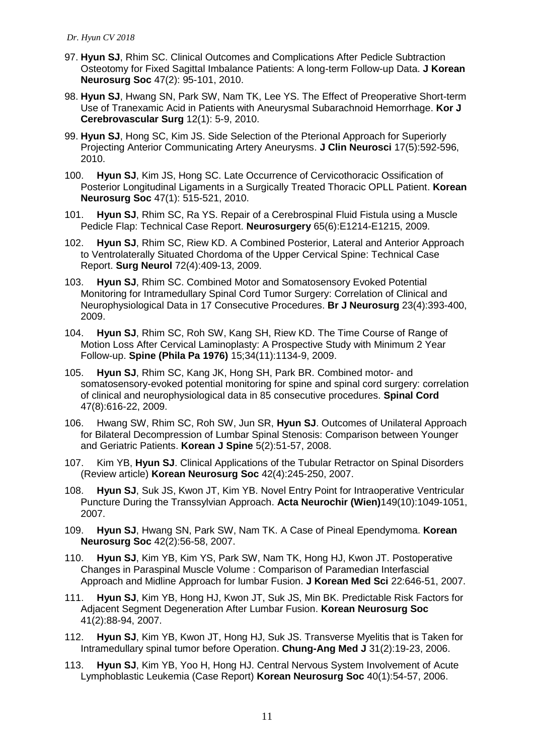- 97. **Hyun SJ**, Rhim SC. Clinical Outcomes and Complications After Pedicle Subtraction Osteotomy for Fixed Sagittal Imbalance Patients: A long-term Follow-up Data. **J Korean Neurosurg Soc** 47(2): 95-101, 2010.
- 98. **Hyun SJ**, Hwang SN, Park SW, Nam TK, Lee YS. The Effect of Preoperative Short-term Use of Tranexamic Acid in Patients with Aneurysmal Subarachnoid Hemorrhage. **Kor J Cerebrovascular Surg** 12(1): 5-9, 2010.
- 99. **Hyun SJ**, Hong SC, Kim JS. Side Selection of the Pterional Approach for Superiorly Projecting Anterior Communicating Artery Aneurysms. **J Clin Neurosci** 17(5):592-596, 2010.
- 100. **Hyun SJ**, Kim JS, Hong SC. Late Occurrence of Cervicothoracic Ossification of Posterior Longitudinal Ligaments in a Surgically Treated Thoracic OPLL Patient. **Korean Neurosurg Soc** 47(1): 515-521, 2010.
- 101. **Hyun SJ**, Rhim SC, Ra YS. Repair of a Cerebrospinal Fluid Fistula using a Muscle Pedicle Flap: Technical Case Report. **Neurosurgery** 65(6):E1214-E1215, 2009.
- 102. **Hyun SJ**, Rhim SC, Riew KD. A Combined Posterior, Lateral and Anterior Approach to Ventrolaterally Situated Chordoma of the Upper Cervical Spine: Technical Case Report. **Surg Neurol** 72(4):409-13, 2009.
- 103. **Hyun SJ**, Rhim SC. Combined Motor and Somatosensory Evoked Potential Monitoring for Intramedullary Spinal Cord Tumor Surgery: Correlation of Clinical and Neurophysiological Data in 17 Consecutive Procedures. **Br J Neurosurg** 23(4):393-400, 2009.
- 104. **Hyun SJ**, Rhim SC, Roh SW, Kang SH, Riew KD. The Time Course of Range of Motion Loss After Cervical Laminoplasty: A Prospective Study with Minimum 2 Year Follow-up. **Spine (Phila Pa 1976)** 15;34(11):1134-9, 2009.
- 105. **Hyun SJ**, Rhim SC, Kang JK, Hong SH, Park BR. Combined motor- and somatosensory-evoked potential monitoring for spine and spinal cord surgery: correlation of clinical and neurophysiological data in 85 consecutive procedures. **Spinal Cord** 47(8):616-22, 2009.
- 106. Hwang SW, Rhim SC, Roh SW, Jun SR, **Hyun SJ**. Outcomes of Unilateral Approach for Bilateral Decompression of Lumbar Spinal Stenosis: Comparison between Younger and Geriatric Patients. **Korean J Spine** 5(2):51-57, 2008.
- 107. Kim YB, **Hyun SJ**. Clinical Applications of the Tubular Retractor on Spinal Disorders (Review article) **Korean Neurosurg Soc** 42(4):245-250, 2007.
- 108. **Hyun SJ**, Suk JS, Kwon JT, Kim YB. Novel Entry Point for Intraoperative Ventricular Puncture During the Transsylvian Approach. **Acta Neurochir (Wien)**149(10):1049-1051, 2007.
- 109. **Hyun SJ**, Hwang SN, Park SW, Nam TK. A Case of Pineal Ependymoma. **Korean Neurosurg Soc** 42(2):56-58, 2007.
- 110. **Hyun SJ**, Kim YB, Kim YS, Park SW, Nam TK, Hong HJ, Kwon JT. Postoperative Changes in Paraspinal Muscle Volume : Comparison of Paramedian Interfascial Approach and Midline Approach for lumbar Fusion. **J Korean Med Sci** 22:646-51, 2007.
- 111. **Hyun SJ**, Kim YB, Hong HJ, Kwon JT, Suk JS, Min BK. Predictable Risk Factors for Adjacent Segment Degeneration After Lumbar Fusion. **Korean Neurosurg Soc** 41(2):88-94, 2007.
- 112. **Hyun SJ**, Kim YB, Kwon JT, Hong HJ, Suk JS. Transverse Myelitis that is Taken for Intramedullary spinal tumor before Operation. **Chung-Ang Med J** 31(2):19-23, 2006.
- 113. **Hyun SJ**, Kim YB, Yoo H, Hong HJ. Central Nervous System Involvement of Acute Lymphoblastic Leukemia (Case Report) **Korean Neurosurg Soc** 40(1):54-57, 2006.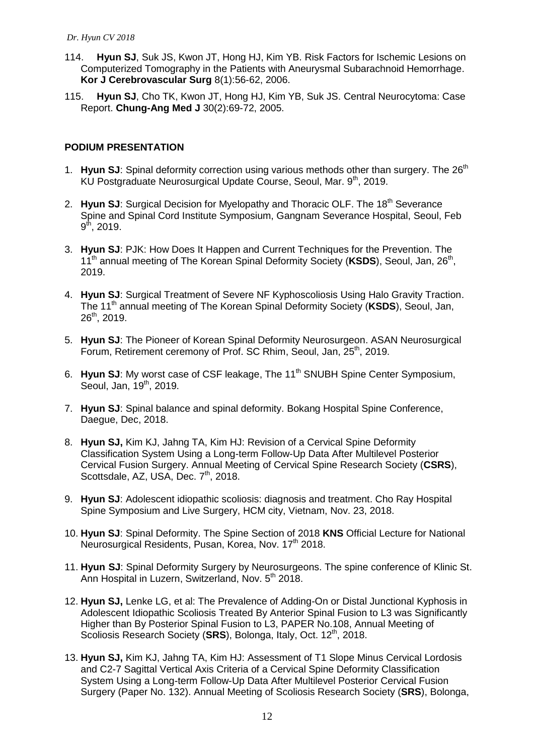- 114. **Hyun SJ**, Suk JS, Kwon JT, Hong HJ, Kim YB. Risk Factors for Ischemic Lesions on Computerized Tomography in the Patients with Aneurysmal Subarachnoid Hemorrhage. **Kor J Cerebrovascular Surg** 8(1):56-62, 2006.
- 115. **Hyun SJ**, Cho TK, Kwon JT, Hong HJ, Kim YB, Suk JS. Central Neurocytoma: Case Report. **Chung-Ang Med J** 30(2):69-72, 2005.

# **PODIUM PRESENTATION**

- 1. **Hyun SJ**: Spinal deformity correction using various methods other than surgery. The 26<sup>th</sup> KU Postgraduate Neurosurgical Update Course, Seoul, Mar. 9th, 2019.
- 2. Hyun SJ: Surgical Decision for Myelopathy and Thoracic OLF. The 18<sup>th</sup> Severance Spine and Spinal Cord Institute Symposium, Gangnam Severance Hospital, Seoul, Feb  $9^{\text{th}}$ , 2019.
- 3. **Hyun SJ**: PJK: How Does It Happen and Current Techniques for the Prevention. The 11<sup>th</sup> annual meeting of The Korean Spinal Deformity Society (KSDS), Seoul, Jan, 26<sup>th</sup>, 2019.
- 4. **Hyun SJ**: Surgical Treatment of Severe NF Kyphoscoliosis Using Halo Gravity Traction. The 11 th annual meeting of The Korean Spinal Deformity Society (**KSDS**), Seoul, Jan, 26th, 2019.
- 5. **Hyun SJ**: The Pioneer of Korean Spinal Deformity Neurosurgeon. ASAN Neurosurgical Forum, Retirement ceremony of Prof. SC Rhim, Seoul, Jan. 25<sup>th</sup>, 2019.
- 6. **Hyun SJ:** My worst case of CSF leakage, The 11<sup>th</sup> SNUBH Spine Center Symposium, Seoul, Jan, 19<sup>th</sup>, 2019.
- 7. **Hyun SJ**: Spinal balance and spinal deformity. Bokang Hospital Spine Conference, Daegue, Dec, 2018.
- 8. **Hyun SJ,** Kim KJ, Jahng TA, Kim HJ: Revision of a Cervical Spine Deformity Classification System Using a Long-term Follow-Up Data After Multilevel Posterior Cervical Fusion Surgery. Annual Meeting of Cervical Spine Research Society (**CSRS**), Scottsdale, AZ, USA, Dec. 7<sup>th</sup>, 2018.
- 9. **Hyun SJ**: Adolescent idiopathic scoliosis: diagnosis and treatment. Cho Ray Hospital Spine Symposium and Live Surgery, HCM city, Vietnam, Nov. 23, 2018.
- 10. **Hyun SJ**: Spinal Deformity. The Spine Section of 2018 **KNS** Official Lecture for National Neurosurgical Residents, Pusan, Korea, Nov. 17<sup>th</sup> 2018.
- 11. **Hyun SJ**: Spinal Deformity Surgery by Neurosurgeons. The spine conference of Klinic St. Ann Hospital in Luzern, Switzerland, Nov. 5<sup>th</sup> 2018.
- 12. **Hyun SJ,** Lenke LG, et al: The Prevalence of Adding-On or Distal Junctional Kyphosis in Adolescent Idiopathic Scoliosis Treated By Anterior Spinal Fusion to L3 was Significantly Higher than By Posterior Spinal Fusion to L3, PAPER No.108, Annual Meeting of Scoliosis Research Society (SRS), Bolonga, Italy, Oct. 12<sup>th</sup>, 2018.
- 13. **Hyun SJ,** Kim KJ, Jahng TA, Kim HJ: Assessment of T1 Slope Minus Cervical Lordosis and C2-7 Sagittal Vertical Axis Criteria of a Cervical Spine Deformity Classification System Using a Long-term Follow-Up Data After Multilevel Posterior Cervical Fusion Surgery (Paper No. 132). Annual Meeting of Scoliosis Research Society (**SRS**), Bolonga,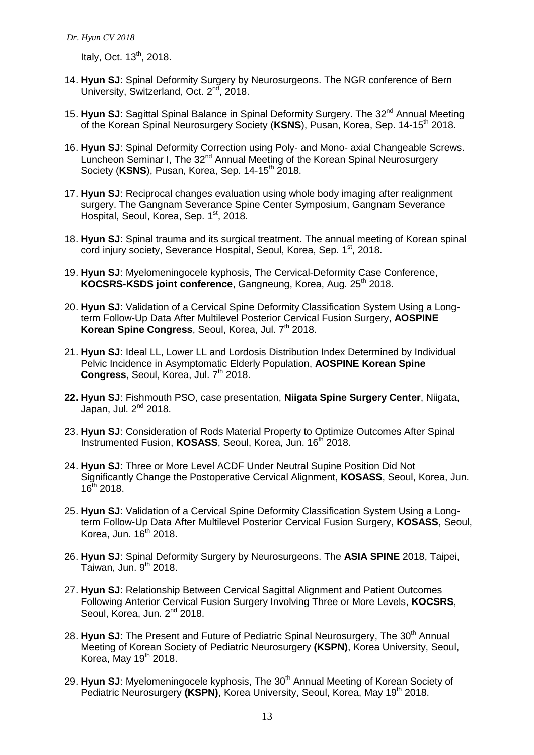Italy, Oct.  $13<sup>th</sup>$ , 2018.

- 14. **Hyun SJ**: Spinal Deformity Surgery by Neurosurgeons. The NGR conference of Bern University, Switzerland, Oct. 2<sup>nd</sup>, 2018.
- 15. Hyun SJ: Sagittal Spinal Balance in Spinal Deformity Surgery. The 32<sup>nd</sup> Annual Meeting of the Korean Spinal Neurosurgery Society (**KSNS**), Pusan, Korea, Sep. 14-15th 2018.
- 16. **Hyun SJ**: Spinal Deformity Correction using Poly- and Mono- axial Changeable Screws. Luncheon Seminar I, The 32<sup>nd</sup> Annual Meeting of the Korean Spinal Neurosurgery Society (KSNS), Pusan, Korea, Sep. 14-15<sup>th</sup> 2018.
- 17. **Hyun SJ**: Reciprocal changes evaluation using whole body imaging after realignment surgery. The Gangnam Severance Spine Center Symposium, Gangnam Severance Hospital, Seoul, Korea, Sep. 1st, 2018.
- 18. **Hyun SJ**: Spinal trauma and its surgical treatment. The annual meeting of Korean spinal cord injury society, Severance Hospital, Seoul, Korea, Sep. 1st, 2018.
- 19. **Hyun SJ**: Myelomeningocele kyphosis, The Cervical-Deformity Case Conference, KOCSRS-KSDS joint conference, Gangneung, Korea, Aug. 25<sup>th</sup> 2018.
- 20. **Hyun SJ**: Validation of a Cervical Spine Deformity Classification System Using a Longterm Follow-Up Data After Multilevel Posterior Cervical Fusion Surgery, **AOSPINE Korean Spine Congress**, Seoul, Korea, Jul. 7<sup>th</sup> 2018.
- 21. **Hyun SJ**: Ideal LL, Lower LL and Lordosis Distribution Index Determined by Individual Pelvic Incidence in Asymptomatic Elderly Population, **AOSPINE Korean Spine Congress**, Seoul, Korea, Jul. 7<sup>th</sup> 2018.
- **22. Hyun SJ**: Fishmouth PSO, case presentation, **Niigata Spine Surgery Center**, Niigata, Japan, Jul. 2<sup>nd</sup> 2018.
- 23. **Hyun SJ**: Consideration of Rods Material Property to Optimize Outcomes After Spinal Instrumented Fusion, KOSASS, Seoul, Korea, Jun. 16<sup>th</sup> 2018.
- 24. **Hyun SJ**: Three or More Level ACDF Under Neutral Supine Position Did Not Significantly Change the Postoperative Cervical Alignment, **KOSASS**, Seoul, Korea, Jun.  $16^{th}$  2018.
- 25. **Hyun SJ**: Validation of a Cervical Spine Deformity Classification System Using a Longterm Follow-Up Data After Multilevel Posterior Cervical Fusion Surgery, **KOSASS**, Seoul, Korea, Jun. 16th 2018.
- 26. **Hyun SJ**: Spinal Deformity Surgery by Neurosurgeons. The **ASIA SPINE** 2018, Taipei, Taiwan, Jun. 9<sup>th</sup> 2018.
- 27. **Hyun SJ**: Relationship Between Cervical Sagittal Alignment and Patient Outcomes Following Anterior Cervical Fusion Surgery Involving Three or More Levels, **KOCSRS**, Seoul, Korea, Jun. 2<sup>nd</sup> 2018.
- 28. **Hyun SJ:** The Present and Future of Pediatric Spinal Neurosurgery, The 30<sup>th</sup> Annual Meeting of Korean Society of Pediatric Neurosurgery **(KSPN)**, Korea University, Seoul, Korea, May  $19<sup>th</sup>$  2018.
- 29. **Hyun SJ**: Myelomeningocele kyphosis, The 30<sup>th</sup> Annual Meeting of Korean Society of Pediatric Neurosurgery (KSPN), Korea University, Seoul, Korea, May 19<sup>th</sup> 2018.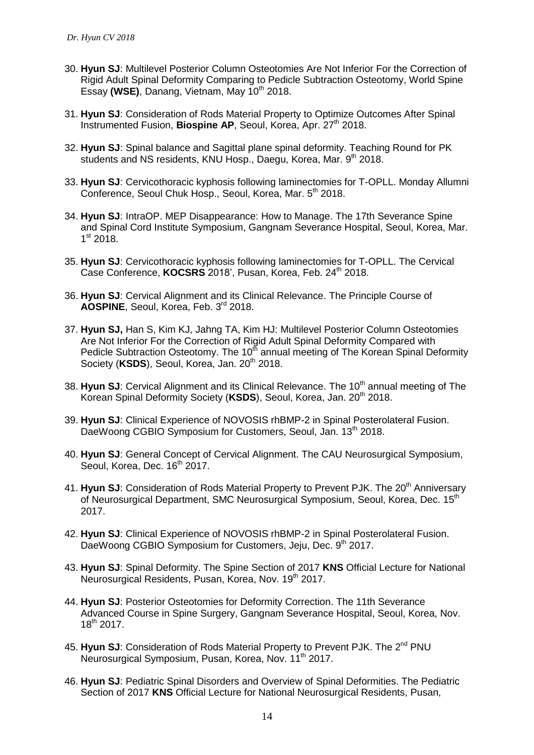- 30. **Hyun SJ**: Multilevel Posterior Column Osteotomies Are Not Inferior For the Correction of Rigid Adult Spinal Deformity Comparing to Pedicle Subtraction Osteotomy, World Spine Essay (WSE), Danang, Vietnam, May 10<sup>th</sup> 2018.
- 31. **Hyun SJ**: Consideration of Rods Material Property to Optimize Outcomes After Spinal Instrumented Fusion, **Biospine AP**, Seoul, Korea, Apr. 27<sup>th</sup> 2018.
- 32. **Hyun SJ**: Spinal balance and Sagittal plane spinal deformity. Teaching Round for PK students and NS residents, KNU Hosp., Daegu, Korea, Mar. 9<sup>th</sup> 2018.
- 33. **Hyun SJ**: Cervicothoracic kyphosis following laminectomies for T-OPLL. Monday Allumni Conference, Seoul Chuk Hosp., Seoul, Korea, Mar. 5th 2018.
- 34. **Hyun SJ**: IntraOP. MEP Disappearance: How to Manage. The 17th Severance Spine and Spinal Cord Institute Symposium, Gangnam Severance Hospital, Seoul, Korea, Mar. 1<sup>st</sup> 2018.
- 35. **Hyun SJ**: Cervicothoracic kyphosis following laminectomies for T-OPLL. The Cervical Case Conference, **KOCSRS** 2018', Pusan, Korea, Feb. 24<sup>th</sup> 2018.
- 36. **Hyun SJ**: Cervical Alignment and its Clinical Relevance. The Principle Course of **AOSPINE**, Seoul, Korea, Feb. 3rd 2018.
- 37. **Hyun SJ,** Han S, Kim KJ, Jahng TA, Kim HJ: Multilevel Posterior Column Osteotomies Are Not Inferior For the Correction of Rigid Adult Spinal Deformity Compared with Pedicle Subtraction Osteotomy. The 10<sup>th</sup> annual meeting of The Korean Spinal Deformity Society (KSDS), Seoul, Korea, Jan. 20<sup>th</sup> 2018.
- 38. Hyun SJ: Cervical Alignment and its Clinical Relevance. The 10<sup>th</sup> annual meeting of The Korean Spinal Deformity Society (KSDS), Seoul, Korea, Jan. 20<sup>th</sup> 2018.
- 39. **Hyun SJ**: Clinical Experience of NOVOSIS rhBMP-2 in Spinal Posterolateral Fusion. DaeWoong CGBIO Symposium for Customers, Seoul, Jan. 13<sup>th</sup> 2018.
- 40. **Hyun SJ**: General Concept of Cervical Alignment. The CAU Neurosurgical Symposium, Seoul, Korea, Dec. 16<sup>th</sup> 2017.
- 41. Hyun SJ: Consideration of Rods Material Property to Prevent PJK. The 20<sup>th</sup> Anniversarv of Neurosurgical Department, SMC Neurosurgical Symposium, Seoul, Korea, Dec. 15<sup>th</sup> 2017.
- 42. **Hyun SJ**: Clinical Experience of NOVOSIS rhBMP-2 in Spinal Posterolateral Fusion. DaeWoong CGBIO Symposium for Customers, Jeju, Dec. 9<sup>th</sup> 2017.
- 43. **Hyun SJ**: Spinal Deformity. The Spine Section of 2017 **KNS** Official Lecture for National Neurosurgical Residents, Pusan, Korea, Nov. 19<sup>th</sup> 2017.
- 44. **Hyun SJ**: Posterior Osteotomies for Deformity Correction. The 11th Severance Advanced Course in Spine Surgery, Gangnam Severance Hospital, Seoul, Korea, Nov. 18th 2017.
- 45. Hyun SJ: Consideration of Rods Material Property to Prevent PJK. The 2<sup>nd</sup> PNU Neurosurgical Symposium, Pusan, Korea, Nov. 11<sup>th</sup> 2017.
- 46. **Hyun SJ**: Pediatric Spinal Disorders and Overview of Spinal Deformities. The Pediatric Section of 2017 **KNS** Official Lecture for National Neurosurgical Residents, Pusan,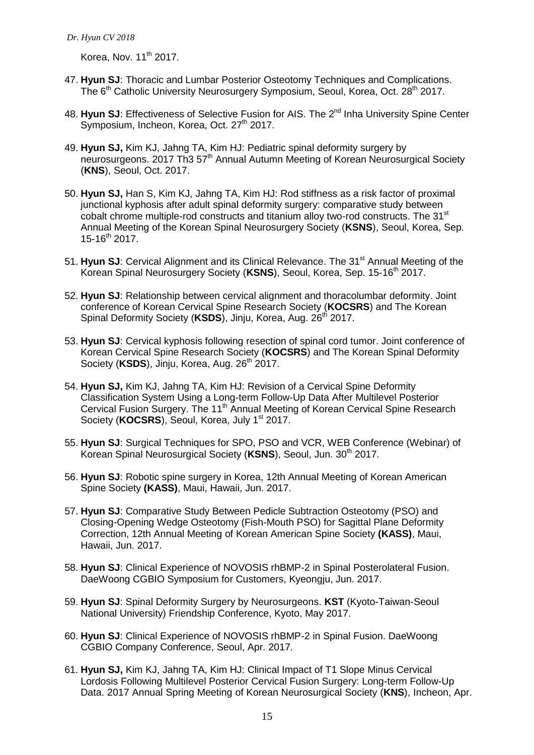Korea, Nov.  $11<sup>th</sup>$  2017.

- 47. **Hyun SJ**: Thoracic and Lumbar Posterior Osteotomy Techniques and Complications. The 6<sup>th</sup> Catholic University Neurosurgery Symposium, Seoul, Korea, Oct. 28<sup>th</sup> 2017.
- 48. **Hyun SJ:** Effectiveness of Selective Fusion for AIS. The 2<sup>nd</sup> Inha University Spine Center Symposium, Incheon, Korea, Oct. 27<sup>th</sup> 2017.
- 49. **Hyun SJ,** Kim KJ, Jahng TA, Kim HJ: Pediatric spinal deformity surgery by neurosurgeons. 2017 Th3 57<sup>th</sup> Annual Autumn Meeting of Korean Neurosurgical Society (**KNS**), Seoul, Oct. 2017.
- 50. **Hyun SJ,** Han S, Kim KJ, Jahng TA, Kim HJ: Rod stiffness as a risk factor of proximal junctional kyphosis after adult spinal deformity surgery: comparative study between cobalt chrome multiple-rod constructs and titanium alloy two-rod constructs. The 31<sup>st</sup> Annual Meeting of the Korean Spinal Neurosurgery Society (**KSNS**), Seoul, Korea, Sep.  $15-16^{th}$  2017.
- 51. Hyun SJ: Cervical Alignment and its Clinical Relevance. The 31<sup>st</sup> Annual Meeting of the Korean Spinal Neurosurgery Society (KSNS), Seoul, Korea, Sep. 15-16<sup>th</sup> 2017.
- 52. **Hyun SJ**: Relationship between cervical alignment and thoracolumbar deformity. Joint conference of Korean Cervical Spine Research Society (**KOCSRS**) and The Korean Spinal Deformity Society (KSDS), Jinju, Korea, Aug. 26<sup>th</sup> 2017.
- 53. **Hyun SJ**: Cervical kyphosis following resection of spinal cord tumor. Joint conference of Korean Cervical Spine Research Society (**KOCSRS**) and The Korean Spinal Deformity Society (KSDS), Jinju, Korea, Aug. 26<sup>th</sup> 2017.
- 54. **Hyun SJ,** Kim KJ, Jahng TA, Kim HJ: Revision of a Cervical Spine Deformity Classification System Using a Long-term Follow-Up Data After Multilevel Posterior Cervical Fusion Surgery. The 11<sup>th</sup> Annual Meeting of Korean Cervical Spine Research Society (KOCSRS), Seoul, Korea, July 1<sup>st</sup> 2017.
- 55. **Hyun SJ**: Surgical Techniques for SPO, PSO and VCR, WEB Conference (Webinar) of Korean Spinal Neurosurgical Society (KSNS), Seoul, Jun. 30<sup>th</sup> 2017.
- 56. **Hyun SJ**: Robotic spine surgery in Korea, 12th Annual Meeting of Korean American Spine Society **(KASS)**, Maui, Hawaii, Jun. 2017.
- 57. **Hyun SJ**: Comparative Study Between Pedicle Subtraction Osteotomy (PSO) and Closing-Opening Wedge Osteotomy (Fish-Mouth PSO) for Sagittal Plane Deformity Correction, 12th Annual Meeting of Korean American Spine Society **(KASS)**, Maui, Hawaii, Jun. 2017.
- 58. **Hyun SJ**: Clinical Experience of NOVOSIS rhBMP-2 in Spinal Posterolateral Fusion. DaeWoong CGBIO Symposium for Customers, Kyeongju, Jun. 2017.
- 59. **Hyun SJ**: Spinal Deformity Surgery by Neurosurgeons. **KST** (Kyoto-Taiwan-Seoul National University) Friendship Conference, Kyoto, May 2017.
- 60. **Hyun SJ**: Clinical Experience of NOVOSIS rhBMP-2 in Spinal Fusion. DaeWoong CGBIO Company Conference, Seoul, Apr. 2017.
- 61. **Hyun SJ,** Kim KJ, Jahng TA, Kim HJ: Clinical Impact of T1 Slope Minus Cervical Lordosis Following Multilevel Posterior Cervical Fusion Surgery: Long-term Follow-Up Data. 2017 Annual Spring Meeting of Korean Neurosurgical Society (**KNS**), Incheon, Apr.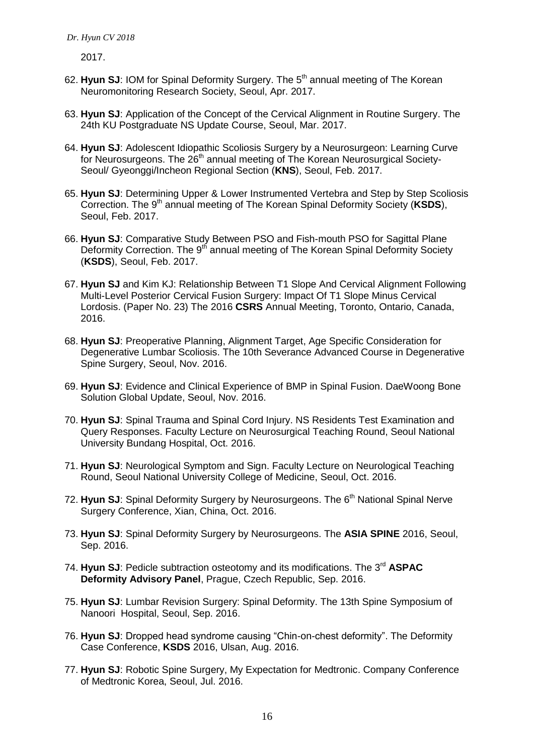2017.

- 62. Hyun SJ: IOM for Spinal Deformity Surgery. The 5<sup>th</sup> annual meeting of The Korean Neuromonitoring Research Society, Seoul, Apr. 2017.
- 63. **Hyun SJ**: Application of the Concept of the Cervical Alignment in Routine Surgery. The 24th KU Postgraduate NS Update Course, Seoul, Mar. 2017.
- 64. **Hyun SJ**: Adolescent Idiopathic Scoliosis Surgery by a Neurosurgeon: Learning Curve for Neurosurgeons. The  $26<sup>th</sup>$  annual meeting of The Korean Neurosurgical Society-Seoul/ Gyeonggi/Incheon Regional Section (**KNS**), Seoul, Feb. 2017.
- 65. **Hyun SJ**: Determining Upper & Lower Instrumented Vertebra and Step by Step Scoliosis Correction. The 9<sup>th</sup> annual meeting of The Korean Spinal Deformity Society (KSDS), Seoul, Feb. 2017.
- 66. **Hyun SJ**: Comparative Study Between PSO and Fish-mouth PSO for Sagittal Plane Deformity Correction. The 9<sup>th</sup> annual meeting of The Korean Spinal Deformity Society (**KSDS**), Seoul, Feb. 2017.
- 67. **Hyun SJ** and Kim KJ: Relationship Between T1 Slope And Cervical Alignment Following Multi-Level Posterior Cervical Fusion Surgery: Impact Of T1 Slope Minus Cervical Lordosis. (Paper No. 23) The 2016 **CSRS** Annual Meeting, Toronto, Ontario, Canada, 2016.
- 68. **Hyun SJ**: Preoperative Planning, Alignment Target, Age Specific Consideration for Degenerative Lumbar Scoliosis. The 10th Severance Advanced Course in Degenerative Spine Surgery, Seoul, Nov. 2016.
- 69. **Hyun SJ**: Evidence and Clinical Experience of BMP in Spinal Fusion. DaeWoong Bone Solution Global Update, Seoul, Nov. 2016.
- 70. **Hyun SJ**: Spinal Trauma and Spinal Cord Injury. NS Residents Test Examination and Query Responses. Faculty Lecture on Neurosurgical Teaching Round, Seoul National University Bundang Hospital, Oct. 2016.
- 71. **Hyun SJ**: Neurological Symptom and Sign. Faculty Lecture on Neurological Teaching Round, Seoul National University College of Medicine, Seoul, Oct. 2016.
- 72. **Hyun SJ:** Spinal Deformity Surgery by Neurosurgeons. The 6<sup>th</sup> National Spinal Nerve Surgery Conference, Xian, China, Oct. 2016.
- 73. **Hyun SJ**: Spinal Deformity Surgery by Neurosurgeons. The **ASIA SPINE** 2016, Seoul, Sep. 2016.
- 74. Hyun SJ: Pedicle subtraction osteotomy and its modifications. The 3<sup>rd</sup> ASPAC **Deformity Advisory Panel**, Prague, Czech Republic, Sep. 2016.
- 75. **Hyun SJ**: Lumbar Revision Surgery: Spinal Deformity. The 13th Spine Symposium of Nanoori Hospital, Seoul, Sep. 2016.
- 76. **Hyun SJ**: Dropped head syndrome causing "Chin-on-chest deformity". The Deformity Case Conference, **KSDS** 2016, Ulsan, Aug. 2016.
- 77. **Hyun SJ**: Robotic Spine Surgery, My Expectation for Medtronic. Company Conference of Medtronic Korea, Seoul, Jul. 2016.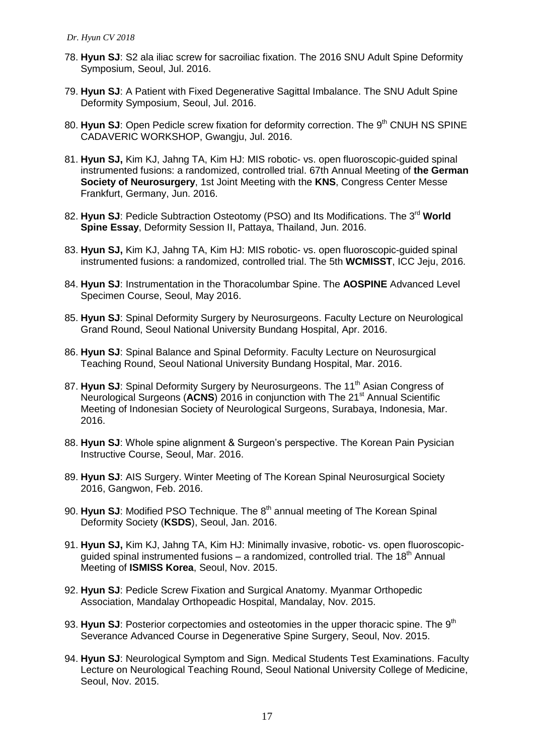- 78. **Hyun SJ**: S2 ala iliac screw for sacroiliac fixation. The 2016 SNU Adult Spine Deformity Symposium, Seoul, Jul. 2016.
- 79. **Hyun SJ**: A Patient with Fixed Degenerative Sagittal Imbalance. The SNU Adult Spine Deformity Symposium, Seoul, Jul. 2016.
- 80. **Hyun SJ:** Open Pedicle screw fixation for deformity correction. The 9<sup>th</sup> CNUH NS SPINE CADAVERIC WORKSHOP, Gwangju, Jul. 2016.
- 81. **Hyun SJ,** Kim KJ, Jahng TA, Kim HJ: MIS robotic- vs. open fluoroscopic-guided spinal instrumented fusions: a randomized, controlled trial. 67th Annual Meeting of **the German Society of Neurosurgery**, 1st Joint Meeting with the **KNS**, Congress Center Messe Frankfurt, Germany, Jun. 2016.
- 82. **Hyun SJ:** Pedicle Subtraction Osteotomy (PSO) and Its Modifications. The 3<sup>rd</sup> World **Spine Essay**, Deformity Session II, Pattaya, Thailand, Jun. 2016.
- 83. **Hyun SJ,** Kim KJ, Jahng TA, Kim HJ: MIS robotic- vs. open fluoroscopic-guided spinal instrumented fusions: a randomized, controlled trial. The 5th **WCMISST**, ICC Jeju, 2016.
- 84. **Hyun SJ**: Instrumentation in the Thoracolumbar Spine. The **AOSPINE** Advanced Level Specimen Course, Seoul, May 2016.
- 85. **Hyun SJ**: Spinal Deformity Surgery by Neurosurgeons. Faculty Lecture on Neurological Grand Round, Seoul National University Bundang Hospital, Apr. 2016.
- 86. **Hyun SJ**: Spinal Balance and Spinal Deformity. Faculty Lecture on Neurosurgical Teaching Round, Seoul National University Bundang Hospital, Mar. 2016.
- 87. Hyun SJ: Spinal Deformity Surgery by Neurosurgeons. The 11<sup>th</sup> Asian Congress of Neurological Surgeons (**ACNS**) 2016 in conjunction with The 21<sup>st</sup> Annual Scientific Meeting of Indonesian Society of Neurological Surgeons, Surabaya, Indonesia, Mar. 2016.
- 88. **Hyun SJ**: Whole spine alignment & Surgeon's perspective. The Korean Pain Pysician Instructive Course, Seoul, Mar. 2016.
- 89. **Hyun SJ**: AIS Surgery. Winter Meeting of The Korean Spinal Neurosurgical Society 2016, Gangwon, Feb. 2016.
- 90. **Hyun SJ**: Modified PSO Technique. The 8th annual meeting of The Korean Spinal Deformity Society (**KSDS**), Seoul, Jan. 2016.
- 91. **Hyun SJ,** Kim KJ, Jahng TA, Kim HJ: Minimally invasive, robotic- vs. open fluoroscopicguided spinal instrumented fusions – a randomized, controlled trial. The 18<sup>th</sup> Annual Meeting of **ISMISS Korea**, Seoul, Nov. 2015.
- 92. **Hyun SJ**: Pedicle Screw Fixation and Surgical Anatomy. Myanmar Orthopedic Association, Mandalay Orthopeadic Hospital, Mandalay, Nov. 2015.
- 93. Hyun SJ: Posterior corpectomies and osteotomies in the upper thoracic spine. The 9<sup>th</sup> Severance Advanced Course in Degenerative Spine Surgery, Seoul, Nov. 2015.
- 94. **Hyun SJ**: Neurological Symptom and Sign. Medical Students Test Examinations. Faculty Lecture on Neurological Teaching Round, Seoul National University College of Medicine, Seoul, Nov. 2015.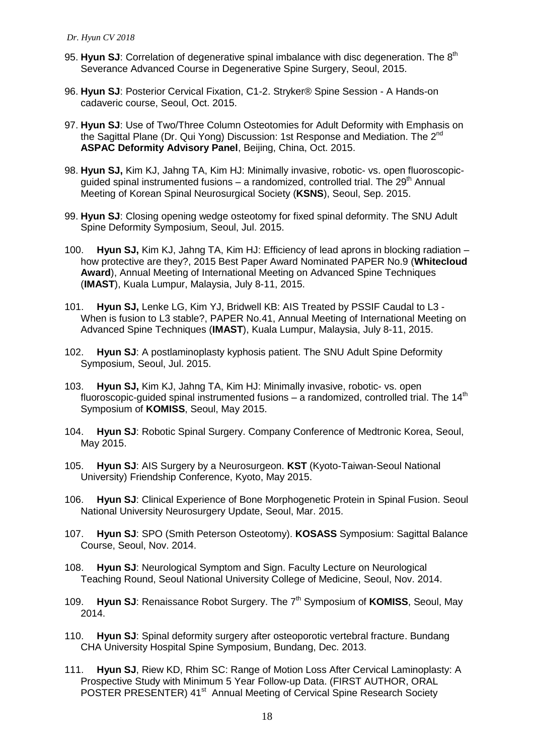- 95. Hyun SJ: Correlation of degenerative spinal imbalance with disc degeneration. The 8<sup>th</sup> Severance Advanced Course in Degenerative Spine Surgery, Seoul, 2015.
- 96. **Hyun SJ**: Posterior Cervical Fixation, C1-2. Stryker® Spine Session A Hands-on cadaveric course, Seoul, Oct. 2015.
- 97. **Hyun SJ**: Use of Two/Three Column Osteotomies for Adult Deformity with Emphasis on the Sagittal Plane (Dr. Qui Yong) Discussion: 1st Response and Mediation. The 2<sup>nd</sup> **ASPAC Deformity Advisory Panel**, Beijing, China, Oct. 2015.
- 98. **Hyun SJ,** Kim KJ, Jahng TA, Kim HJ: Minimally invasive, robotic- vs. open fluoroscopicguided spinal instrumented fusions – a randomized, controlled trial. The  $29<sup>th</sup>$  Annual Meeting of Korean Spinal Neurosurgical Society (**KSNS**), Seoul, Sep. 2015.
- 99. **Hyun SJ**: Closing opening wedge osteotomy for fixed spinal deformity. The SNU Adult Spine Deformity Symposium, Seoul, Jul. 2015.
- 100. **Hyun SJ,** Kim KJ, Jahng TA, Kim HJ: Efficiency of lead aprons in blocking radiation how protective are they?, 2015 Best Paper Award Nominated PAPER No.9 (**Whitecloud Award**), Annual Meeting of International Meeting on Advanced Spine Techniques (**IMAST**), Kuala Lumpur, Malaysia, July 8-11, 2015.
- 101. **Hyun SJ,** Lenke LG, Kim YJ, Bridwell KB: AIS Treated by PSSIF Caudal to L3 When is fusion to L3 stable?, PAPER No.41, Annual Meeting of International Meeting on Advanced Spine Techniques (**IMAST**), Kuala Lumpur, Malaysia, July 8-11, 2015.
- 102. **Hyun SJ**: A postlaminoplasty kyphosis patient. The SNU Adult Spine Deformity Symposium, Seoul, Jul. 2015.
- 103. **Hyun SJ,** Kim KJ, Jahng TA, Kim HJ: Minimally invasive, robotic- vs. open fluoroscopic-guided spinal instrumented fusions  $-$  a randomized, controlled trial. The 14<sup>th</sup> Symposium of **KOMISS**, Seoul, May 2015.
- 104. **Hyun SJ**: Robotic Spinal Surgery. Company Conference of Medtronic Korea, Seoul, May 2015.
- 105. **Hyun SJ**: AIS Surgery by a Neurosurgeon. **KST** (Kyoto-Taiwan-Seoul National University) Friendship Conference, Kyoto, May 2015.
- 106. **Hyun SJ**: Clinical Experience of Bone Morphogenetic Protein in Spinal Fusion. Seoul National University Neurosurgery Update, Seoul, Mar. 2015.
- 107. **Hyun SJ**: SPO (Smith Peterson Osteotomy). **KOSASS** Symposium: Sagittal Balance Course, Seoul, Nov. 2014.
- 108. **Hyun SJ**: Neurological Symptom and Sign. Faculty Lecture on Neurological Teaching Round, Seoul National University College of Medicine, Seoul, Nov. 2014.
- 109. **Hyun SJ:** Renaissance Robot Surgery. The 7<sup>th</sup> Symposium of **KOMISS**, Seoul, May 2014.
- 110. **Hyun SJ**: Spinal deformity surgery after osteoporotic vertebral fracture. Bundang CHA University Hospital Spine Symposium, Bundang, Dec. 2013.
- 111. **Hyun SJ**, Riew KD, Rhim SC: Range of Motion Loss After Cervical Laminoplasty: A Prospective Study with Minimum 5 Year Follow-up Data. (FIRST AUTHOR, ORAL POSTER PRESENTER) 41<sup>st</sup> Annual Meeting of Cervical Spine Research Society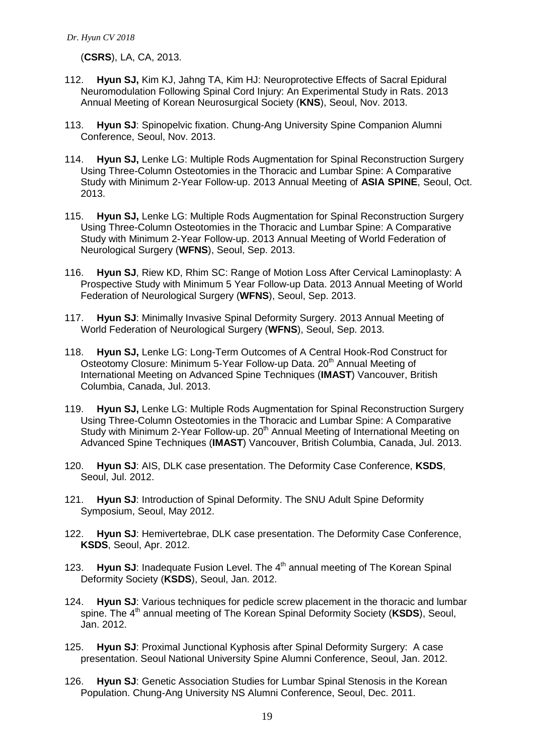(**CSRS**), LA, CA, 2013.

- 112. **Hyun SJ,** Kim KJ, Jahng TA, Kim HJ: Neuroprotective Effects of Sacral Epidural Neuromodulation Following Spinal Cord Injury: An Experimental Study in Rats. 2013 Annual Meeting of Korean Neurosurgical Society (**KNS**), Seoul, Nov. 2013.
- 113. **Hyun SJ**: Spinopelvic fixation. Chung-Ang University Spine Companion Alumni Conference, Seoul, Nov. 2013.
- 114. **Hyun SJ,** Lenke LG: Multiple Rods Augmentation for Spinal Reconstruction Surgery Using Three-Column Osteotomies in the Thoracic and Lumbar Spine: A Comparative Study with Minimum 2-Year Follow-up. 2013 Annual Meeting of **ASIA SPINE**, Seoul, Oct. 2013.
- 115. **Hyun SJ,** Lenke LG: Multiple Rods Augmentation for Spinal Reconstruction Surgery Using Three-Column Osteotomies in the Thoracic and Lumbar Spine: A Comparative Study with Minimum 2-Year Follow-up. 2013 Annual Meeting of World Federation of Neurological Surgery (**WFNS**), Seoul, Sep. 2013.
- 116. **Hyun SJ**, Riew KD, Rhim SC: Range of Motion Loss After Cervical Laminoplasty: A Prospective Study with Minimum 5 Year Follow-up Data. 2013 Annual Meeting of World Federation of Neurological Surgery (**WFNS**), Seoul, Sep. 2013.
- 117. **Hyun SJ**: Minimally Invasive Spinal Deformity Surgery. 2013 Annual Meeting of World Federation of Neurological Surgery (**WFNS**), Seoul, Sep. 2013.
- 118. **Hyun SJ,** Lenke LG: Long-Term Outcomes of A Central Hook-Rod Construct for Osteotomy Closure: Minimum 5-Year Follow-up Data. 20<sup>th</sup> Annual Meeting of International Meeting on Advanced Spine Techniques (**IMAST**) Vancouver, British Columbia, Canada, Jul. 2013.
- 119. **Hyun SJ,** Lenke LG: Multiple Rods Augmentation for Spinal Reconstruction Surgery Using Three-Column Osteotomies in the Thoracic and Lumbar Spine: A Comparative Study with Minimum 2-Year Follow-up. 20<sup>th</sup> Annual Meeting of International Meeting on Advanced Spine Techniques (**IMAST**) Vancouver, British Columbia, Canada, Jul. 2013.
- 120. **Hyun SJ**: AIS, DLK case presentation. The Deformity Case Conference, **KSDS**, Seoul, Jul. 2012.
- 121. **Hyun SJ**: Introduction of Spinal Deformity. The SNU Adult Spine Deformity Symposium, Seoul, May 2012.
- 122. **Hyun SJ**: Hemivertebrae, DLK case presentation. The Deformity Case Conference, **KSDS**, Seoul, Apr. 2012.
- 123. **Hyun SJ:** Inadequate Fusion Level. The 4<sup>th</sup> annual meeting of The Korean Spinal Deformity Society (**KSDS**), Seoul, Jan. 2012.
- 124. **Hyun SJ**: Various techniques for pedicle screw placement in the thoracic and lumbar spine. The 4<sup>th</sup> annual meeting of The Korean Spinal Deformity Society (KSDS), Seoul, Jan. 2012.
- 125. **Hyun SJ**: Proximal Junctional Kyphosis after Spinal Deformity Surgery: A case presentation. Seoul National University Spine Alumni Conference, Seoul, Jan. 2012.
- 126. **Hyun SJ**: Genetic Association Studies for Lumbar Spinal Stenosis in the Korean Population. Chung-Ang University NS Alumni Conference, Seoul, Dec. 2011.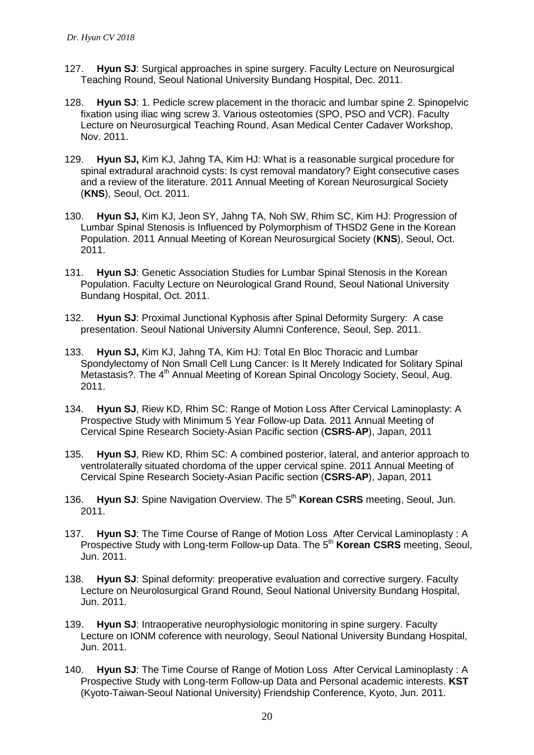- 127. **Hyun SJ**: Surgical approaches in spine surgery. Faculty Lecture on Neurosurgical Teaching Round, Seoul National University Bundang Hospital, Dec. 2011.
- 128. **Hyun SJ**: 1. Pedicle screw placement in the thoracic and lumbar spine 2. Spinopelvic fixation using iliac wing screw 3. Various osteotomies (SPO, PSO and VCR). Faculty Lecture on Neurosurgical Teaching Round, Asan Medical Center Cadaver Workshop, Nov. 2011.
- 129. **Hyun SJ,** Kim KJ, Jahng TA, Kim HJ: What is a reasonable surgical procedure for spinal extradural arachnoid cysts: Is cyst removal mandatory? Eight consecutive cases and a review of the literature. 2011 Annual Meeting of Korean Neurosurgical Society (**KNS**), Seoul, Oct. 2011.
- 130. **Hyun SJ,** Kim KJ, Jeon SY, Jahng TA, Noh SW, Rhim SC, Kim HJ: Progression of Lumbar Spinal Stenosis is Influenced by Polymorphism of THSD2 Gene in the Korean Population. 2011 Annual Meeting of Korean Neurosurgical Society (**KNS**), Seoul, Oct. 2011.
- 131. **Hyun SJ**: Genetic Association Studies for Lumbar Spinal Stenosis in the Korean Population. Faculty Lecture on Neurological Grand Round, Seoul National University Bundang Hospital, Oct. 2011.
- 132. **Hyun SJ**: Proximal Junctional Kyphosis after Spinal Deformity Surgery: A case presentation. Seoul National University Alumni Conference, Seoul, Sep. 2011.
- 133. **Hyun SJ,** Kim KJ, Jahng TA, Kim HJ: Total En Bloc Thoracic and Lumbar Spondylectomy of Non Small Cell Lung Cancer: Is It Merely Indicated for Solitary Spinal Metastasis?. The 4<sup>th</sup> Annual Meeting of Korean Spinal Oncology Society, Seoul, Aug. 2011.
- 134. **Hyun SJ**, Riew KD, Rhim SC: Range of Motion Loss After Cervical Laminoplasty: A Prospective Study with Minimum 5 Year Follow-up Data. 2011 Annual Meeting of Cervical Spine Research Society-Asian Pacific section (**CSRS-AP**), Japan, 2011
- 135. **Hyun SJ**, Riew KD, Rhim SC: A combined posterior, lateral, and anterior approach to ventrolaterally situated chordoma of the upper cervical spine. 2011 Annual Meeting of Cervical Spine Research Society-Asian Pacific section (**CSRS-AP**), Japan, 2011
- 136. **Hyun SJ**: Spine Navigation Overview. The 5th **Korean CSRS** meeting, Seoul, Jun. 2011.
- 137. **Hyun SJ**: The Time Course of Range of Motion Loss After Cervical Laminoplasty : A Prospective Study with Long-term Follow-up Data. The 5<sup>th</sup> Korean CSRS meeting, Seoul, Jun. 2011.
- 138. **Hyun SJ**: Spinal deformity: preoperative evaluation and corrective surgery. Faculty Lecture on Neurolosurgical Grand Round, Seoul National University Bundang Hospital, Jun. 2011.
- 139. **Hyun SJ**: Intraoperative neurophysiologic monitoring in spine surgery. Faculty Lecture on IONM coference with neurology, Seoul National University Bundang Hospital, Jun. 2011.
- 140. **Hyun SJ**: The Time Course of Range of Motion Loss After Cervical Laminoplasty : A Prospective Study with Long-term Follow-up Data and Personal academic interests. **KST** (Kyoto-Taiwan-Seoul National University) Friendship Conference, Kyoto, Jun. 2011.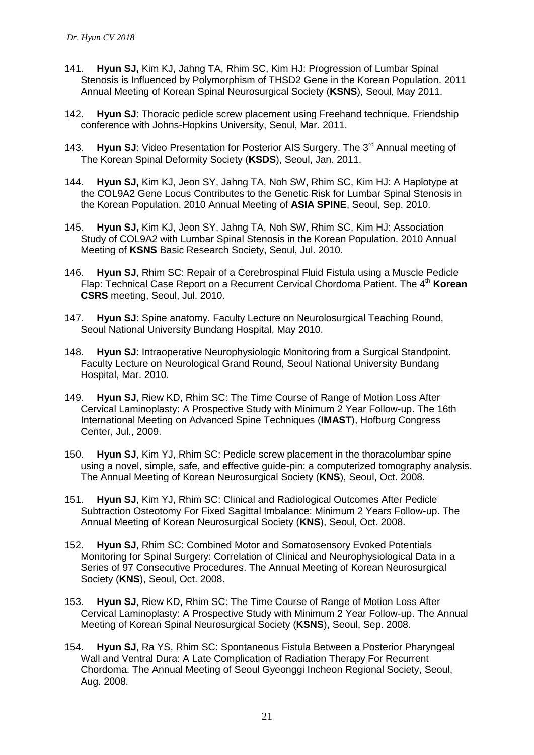- 141. **Hyun SJ,** Kim KJ, Jahng TA, Rhim SC, Kim HJ: Progression of Lumbar Spinal Stenosis is Influenced by Polymorphism of THSD2 Gene in the Korean Population. 2011 Annual Meeting of Korean Spinal Neurosurgical Society (**KSNS**), Seoul, May 2011.
- 142. **Hyun SJ**: Thoracic pedicle screw placement using Freehand technique. Friendship conference with Johns-Hopkins University, Seoul, Mar. 2011.
- 143. **Hyun SJ**: Video Presentation for Posterior AIS Surgery. The 3rd Annual meeting of The Korean Spinal Deformity Society (**KSDS**), Seoul, Jan. 2011.
- 144. **Hyun SJ,** Kim KJ, Jeon SY, Jahng TA, Noh SW, Rhim SC, Kim HJ: A Haplotype at the COL9A2 Gene Locus Contributes to the Genetic Risk for Lumbar Spinal Stenosis in the Korean Population. 2010 Annual Meeting of **ASIA SPINE**, Seoul, Sep. 2010.
- 145. **Hyun SJ,** Kim KJ, Jeon SY, Jahng TA, Noh SW, Rhim SC, Kim HJ: Association Study of COL9A2 with Lumbar Spinal Stenosis in the Korean Population. 2010 Annual Meeting of **KSNS** Basic Research Society, Seoul, Jul. 2010.
- 146. **Hyun SJ**, Rhim SC: Repair of a Cerebrospinal Fluid Fistula using a Muscle Pedicle Flap: Technical Case Report on a Recurrent Cervical Chordoma Patient. The 4<sup>th</sup> Korean **CSRS** meeting, Seoul, Jul. 2010.
- 147. **Hyun SJ**: Spine anatomy. Faculty Lecture on Neurolosurgical Teaching Round, Seoul National University Bundang Hospital, May 2010.
- 148. **Hyun SJ**: Intraoperative Neurophysiologic Monitoring from a Surgical Standpoint. Faculty Lecture on Neurological Grand Round, Seoul National University Bundang Hospital, Mar. 2010.
- 149. **Hyun SJ**, Riew KD, Rhim SC: The Time Course of Range of Motion Loss After Cervical Laminoplasty: A Prospective Study with Minimum 2 Year Follow-up. The 16th International Meeting on Advanced Spine Techniques (**IMAST**), Hofburg Congress Center, Jul., 2009.
- 150. **Hyun SJ**, Kim YJ, Rhim SC: Pedicle screw placement in the thoracolumbar spine using a novel, simple, safe, and effective guide-pin: a computerized tomography analysis. The Annual Meeting of Korean Neurosurgical Society (**KNS**), Seoul, Oct. 2008.
- 151. **Hyun SJ**, Kim YJ, Rhim SC: Clinical and Radiological Outcomes After Pedicle Subtraction Osteotomy For Fixed Sagittal Imbalance: Minimum 2 Years Follow-up. The Annual Meeting of Korean Neurosurgical Society (**KNS**), Seoul, Oct. 2008.
- 152. **Hyun SJ**, Rhim SC: Combined Motor and Somatosensory Evoked Potentials Monitoring for Spinal Surgery: Correlation of Clinical and Neurophysiological Data in a Series of 97 Consecutive Procedures. The Annual Meeting of Korean Neurosurgical Society (**KNS**), Seoul, Oct. 2008.
- 153. **Hyun SJ**, Riew KD, Rhim SC: The Time Course of Range of Motion Loss After Cervical Laminoplasty: A Prospective Study with Minimum 2 Year Follow-up. The Annual Meeting of Korean Spinal Neurosurgical Society (**KSNS**), Seoul, Sep. 2008.
- 154. **Hyun SJ**, Ra YS, Rhim SC: Spontaneous Fistula Between a Posterior Pharyngeal Wall and Ventral Dura: A Late Complication of Radiation Therapy For Recurrent Chordoma. The Annual Meeting of Seoul Gyeonggi Incheon Regional Society, Seoul, Aug. 2008.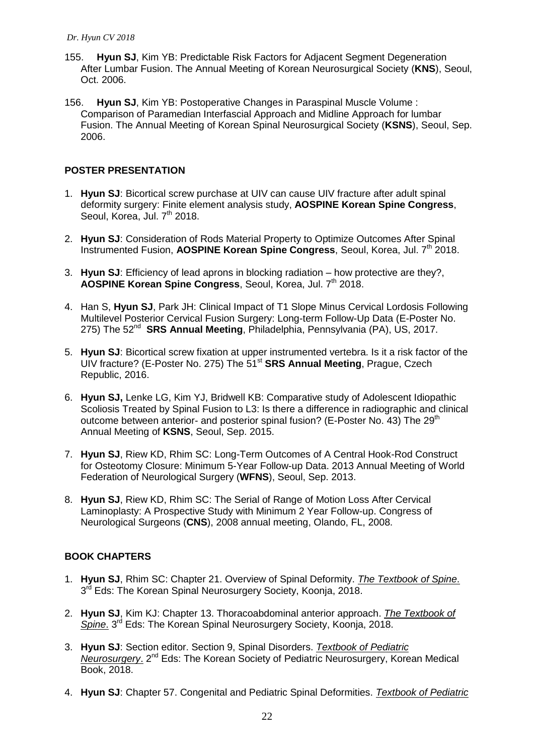- 155. **Hyun SJ**, Kim YB: Predictable Risk Factors for Adjacent Segment Degeneration After Lumbar Fusion. The Annual Meeting of Korean Neurosurgical Society (**KNS**), Seoul, Oct. 2006.
- 156. **Hyun SJ**, Kim YB: Postoperative Changes in Paraspinal Muscle Volume : Comparison of Paramedian Interfascial Approach and Midline Approach for lumbar Fusion. The Annual Meeting of Korean Spinal Neurosurgical Society (**KSNS**), Seoul, Sep. 2006.

# **POSTER PRESENTATION**

- 1. **Hyun SJ**: Bicortical screw purchase at UIV can cause UIV fracture after adult spinal deformity surgery: Finite element analysis study, **AOSPINE Korean Spine Congress**, Seoul, Korea, Jul. 7<sup>th</sup> 2018.
- 2. **Hyun SJ**: Consideration of Rods Material Property to Optimize Outcomes After Spinal Instrumented Fusion, **AOSPINE Korean Spine Congress**, Seoul, Korea, Jul. 7th 2018.
- 3. **Hyun SJ**: Efficiency of lead aprons in blocking radiation how protective are they?, **AOSPINE Korean Spine Congress**, Seoul, Korea, Jul. 7<sup>th</sup> 2018.
- 4. Han S, **Hyun SJ**, Park JH: Clinical Impact of T1 Slope Minus Cervical Lordosis Following Multilevel Posterior Cervical Fusion Surgery: Long-term Follow-Up Data (E-Poster No. 275) The 52<sup>nd</sup> SRS Annual Meeting, Philadelphia, Pennsylvania (PA), US, 2017.
- 5. **Hyun SJ**: Bicortical screw fixation at upper instrumented vertebra. Is it a risk factor of the UIV fracture? (E-Poster No. 275) The 51st **SRS Annual Meeting**, Prague, Czech Republic, 2016.
- 6. **Hyun SJ,** Lenke LG, Kim YJ, Bridwell KB: Comparative study of Adolescent Idiopathic Scoliosis Treated by Spinal Fusion to L3: Is there a difference in radiographic and clinical outcome between anterior- and posterior spinal fusion? (E-Poster No. 43) The  $29<sup>th</sup>$ Annual Meeting of **KSNS**, Seoul, Sep. 2015.
- 7. **Hyun SJ**, Riew KD, Rhim SC: Long-Term Outcomes of A Central Hook-Rod Construct for Osteotomy Closure: Minimum 5-Year Follow-up Data. 2013 Annual Meeting of World Federation of Neurological Surgery (**WFNS**), Seoul, Sep. 2013.
- 8. **Hyun SJ**, Riew KD, Rhim SC: The Serial of Range of Motion Loss After Cervical Laminoplasty: A Prospective Study with Minimum 2 Year Follow-up. Congress of Neurological Surgeons (**CNS**), 2008 annual meeting, Olando, FL, 2008.

# **BOOK CHAPTERS**

- 1. **Hyun SJ**, Rhim SC: Chapter 21. Overview of Spinal Deformity. *The Textbook of Spine*. 3<sup>rd</sup> Eds: The Korean Spinal Neurosurgery Society, Koonja, 2018.
- 2. **Hyun SJ**, Kim KJ: Chapter 13. Thoracoabdominal anterior approach. *The Textbook of*  Spine. 3<sup>rd</sup> Eds: The Korean Spinal Neurosurgery Society, Koonja, 2018.
- 3. **Hyun SJ**: Section editor. Section 9, Spinal Disorders. *Textbook of Pediatric*  Neurosurgery. 2<sup>nd</sup> Eds: The Korean Society of Pediatric Neurosurgery, Korean Medical Book, 2018.
- 4. **Hyun SJ**: Chapter 57. Congenital and Pediatric Spinal Deformities. *Textbook of Pediatric*